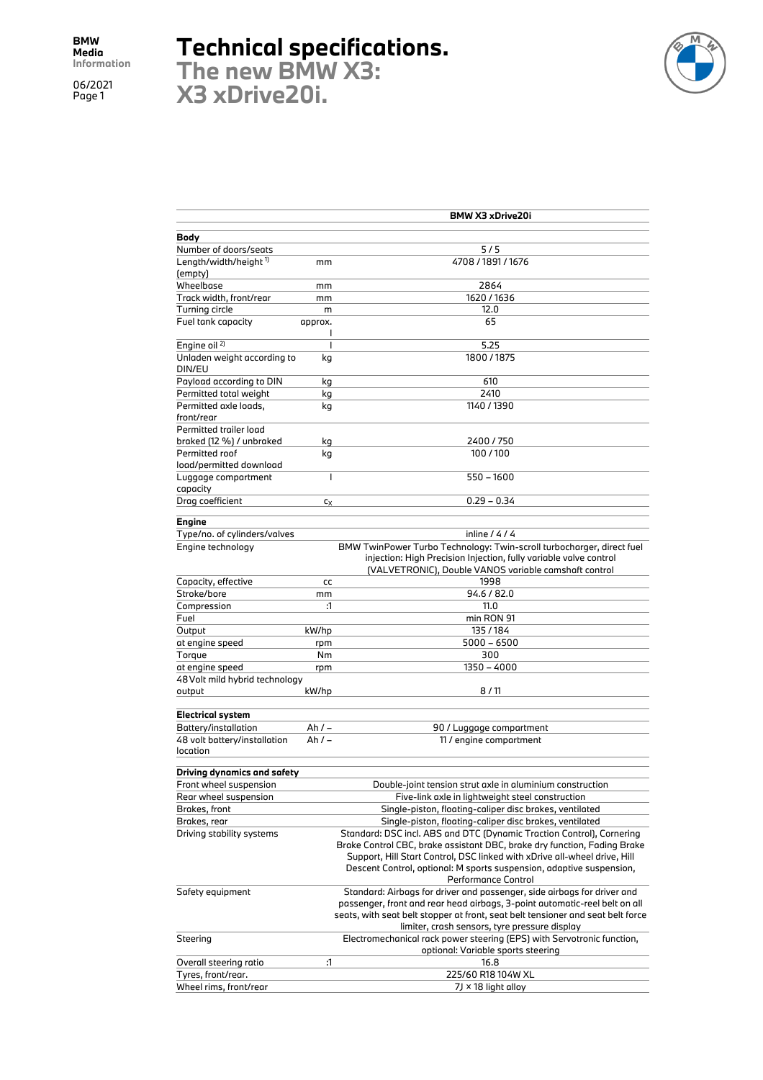## **Technical specifications.**

**The new BMW X3: X3 xDrive20i.**



|                                   |                | <b>BMW X3 xDrive20i</b>                                                                                                                                       |
|-----------------------------------|----------------|---------------------------------------------------------------------------------------------------------------------------------------------------------------|
|                                   |                |                                                                                                                                                               |
| Body                              |                |                                                                                                                                                               |
| Number of doors/seats             |                | 5/5<br>4708 / 1891 / 1676                                                                                                                                     |
| Length/width/height 1)<br>(empty) | mm             |                                                                                                                                                               |
| Wheelbase                         | mm             | 2864                                                                                                                                                          |
| Track width, front/rear           | mm             | 1620 / 1636                                                                                                                                                   |
| Turning circle                    | m              | 12.0                                                                                                                                                          |
| Fuel tank capacity                | approx.        | 65                                                                                                                                                            |
|                                   | I              |                                                                                                                                                               |
| Engine oil <sup>2)</sup>          | I              | 5.25                                                                                                                                                          |
| Unladen weight according to       | kg             | 1800/1875                                                                                                                                                     |
| DIN/EU                            |                |                                                                                                                                                               |
| Payload according to DIN          | kg             | 610                                                                                                                                                           |
| Permitted total weight            | kg             | 2410                                                                                                                                                          |
| Permitted axle loads,             | kg             | 1140 / 1390                                                                                                                                                   |
| front/rear                        |                |                                                                                                                                                               |
| Permitted trailer load            |                |                                                                                                                                                               |
| braked (12 %) / unbraked          | kg             | 2400 / 750                                                                                                                                                    |
| Permitted roof                    | kg             | 100/100                                                                                                                                                       |
| load/permitted download           |                |                                                                                                                                                               |
| Luggage compartment               | I              | $550 - 1600$                                                                                                                                                  |
| capacity                          |                |                                                                                                                                                               |
| Drag coefficient                  | C <sub>X</sub> | $0.29 - 0.34$                                                                                                                                                 |
| <b>Engine</b>                     |                |                                                                                                                                                               |
| Type/no. of cylinders/valves      |                | inline $/4/4$                                                                                                                                                 |
| Engine technology                 |                | BMW TwinPower Turbo Technology: Twin-scroll turbocharger, direct fuel                                                                                         |
|                                   |                | injection: High Precision Injection, fully variable valve control                                                                                             |
|                                   |                | (VALVETRONIC), Double VANOS variable camshaft control                                                                                                         |
| Capacity, effective               | cc             | 1998                                                                                                                                                          |
| Stroke/bore                       | mm             | 94.6 / 82.0                                                                                                                                                   |
| Compression                       | :1             | 11.0                                                                                                                                                          |
| Fuel                              |                | min RON 91                                                                                                                                                    |
| Output                            | kW/hp          | 135/184                                                                                                                                                       |
| at engine speed                   | rpm            | $5000 - 6500$                                                                                                                                                 |
| Torque                            | Nm             | 300                                                                                                                                                           |
| at engine speed                   | rpm            | 1350 - 4000                                                                                                                                                   |
| 48 Volt mild hybrid technology    |                |                                                                                                                                                               |
| output                            | kW/hp          | 8/11                                                                                                                                                          |
| <b>Electrical system</b>          |                |                                                                                                                                                               |
| Battery/installation              | $Ah/-$         | 90 / Luggage compartment                                                                                                                                      |
| 48 volt battery/installation      | Ah / –         | 11 / engine compartment                                                                                                                                       |
| location                          |                |                                                                                                                                                               |
|                                   |                |                                                                                                                                                               |
| Driving dynamics and safety       |                |                                                                                                                                                               |
| Front wheel suspension            |                | Double-joint tension strut axle in aluminium construction                                                                                                     |
| Rear wheel suspension             |                | Five-link axle in lightweight steel construction                                                                                                              |
| Brakes, front                     |                | Single-piston, floating-caliper disc brakes, ventilated                                                                                                       |
| Brakes, rear                      |                | Single-piston, floating-caliper disc brakes, ventilated                                                                                                       |
| Driving stability systems         |                | Standard: DSC incl. ABS and DTC (Dynamic Traction Control), Cornering                                                                                         |
|                                   |                | Brake Control CBC, brake assistant DBC, brake dry function, Fading Brake                                                                                      |
|                                   |                | Support, Hill Start Control, DSC linked with xDrive all-wheel drive, Hill                                                                                     |
|                                   |                | Descent Control, optional: M sports suspension, adaptive suspension,                                                                                          |
|                                   |                | <b>Performance Control</b>                                                                                                                                    |
| Safety equipment                  |                | Standard: Airbags for driver and passenger, side airbags for driver and                                                                                       |
|                                   |                | passenger, front and rear head airbags, 3-point automatic-reel belt on all<br>seats, with seat belt stopper at front, seat belt tensioner and seat belt force |
|                                   |                | limiter, crash sensors, tyre pressure display                                                                                                                 |
| Steering                          |                | Electromechanical rack power steering (EPS) with Servotronic function,                                                                                        |
|                                   |                | optional: Variable sports steering                                                                                                                            |
| Overall steering ratio            | :1             | 16.8                                                                                                                                                          |
| Tyres, front/rear.                |                | 225/60 R18 104W XL                                                                                                                                            |
| Wheel rims, front/rear            |                | 7J × 18 light alloy                                                                                                                                           |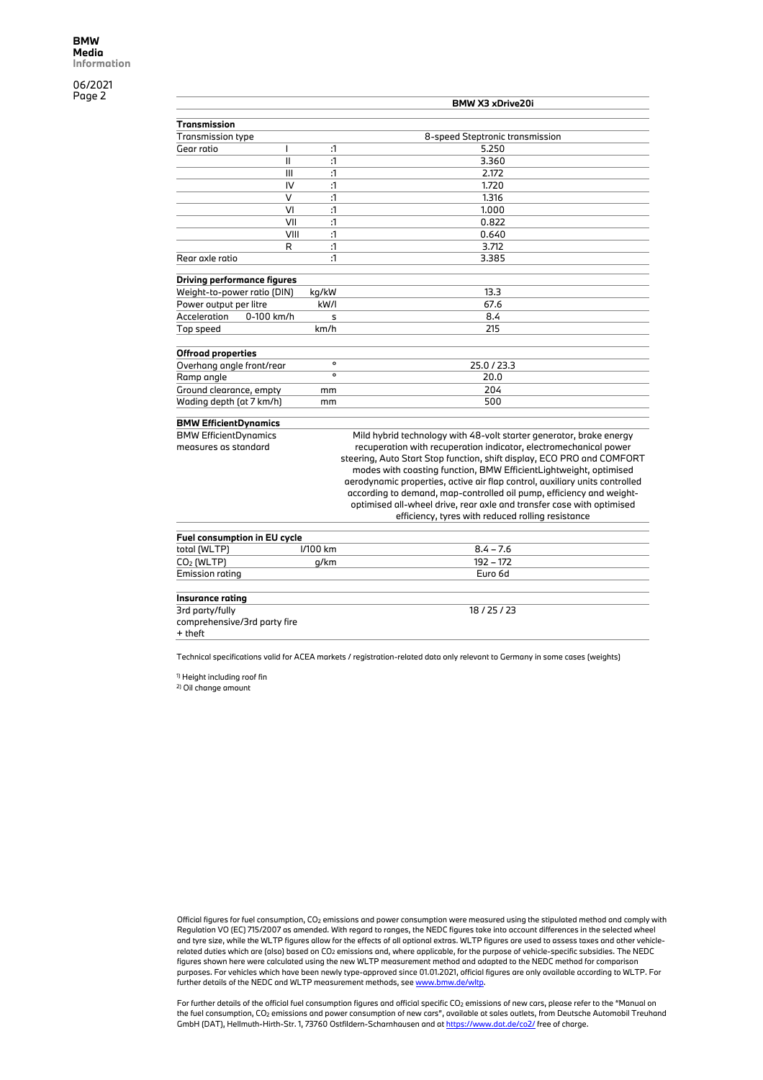|                                    |                | <b>BMW X3 xDrive20i</b>                                                     |
|------------------------------------|----------------|-----------------------------------------------------------------------------|
| <b>Transmission</b>                |                |                                                                             |
| <b>Transmission type</b>           |                | 8-speed Steptronic transmission                                             |
| $\mathbf{I}$<br>Gear ratio         | :1             | 5.250                                                                       |
| $\mathbf{I}$                       | $\mathbf{1}$   | 3.360                                                                       |
| III                                | :1             | 2.172                                                                       |
| IV                                 | :1             | 1.720                                                                       |
| V                                  | $\mathfrak{a}$ | 1.316                                                                       |
| VI                                 | :1             | 1.000                                                                       |
| VII                                | $\mathbf{1}$   | 0.822                                                                       |
| VIII                               | :1             | 0.640                                                                       |
| R                                  | :1             | 3.712                                                                       |
| Rear axle ratio                    | :1             | 3.385                                                                       |
| <b>Driving performance figures</b> |                |                                                                             |
| Weight-to-power ratio (DIN)        | kg/kW          | 13.3                                                                        |
| Power output per litre             | kW/I           | 67.6                                                                        |
| Acceleration<br>0-100 km/h         | s              | 8.4                                                                         |
| Top speed                          | km/h           | 215                                                                         |
| <b>Offroad properties</b>          |                |                                                                             |
| Overhang angle front/rear          | $\mathsf{o}$   | 25.0/23.3                                                                   |
| Ramp angle                         | $\mathsf{o}$   | 20.0                                                                        |
| Ground clearance, empty            | mm             | 204                                                                         |
| Wading depth (at 7 km/h)           | mm             | 500                                                                         |
| <b>BMW EfficientDynamics</b>       |                |                                                                             |
| <b>BMW EfficientDynamics</b>       |                | Mild hybrid technology with 48-volt starter generator, brake energy         |
| measures as standard               |                | recuperation with recuperation indicator, electromechanical power           |
|                                    |                | steering, Auto Start Stop function, shift display, ECO PRO and COMFORT      |
|                                    |                | modes with coasting function, BMW EfficientLightweight, optimised           |
|                                    |                | aerodynamic properties, active air flap control, auxiliary units controlled |
|                                    |                | according to demand, map-controlled oil pump, efficiency and weight-        |
|                                    |                | optimised all-wheel drive, rear axle and transfer case with optimised       |
|                                    |                | efficiency, tyres with reduced rolling resistance                           |
| Fuel consumption in EU cycle       |                |                                                                             |
| total (WLTP)                       | I/100 km       | $8.4 - 7.6$                                                                 |
| CO <sub>2</sub> (WLTP)             | g/km           | $192 - 172$                                                                 |
| Emission rating                    |                | Euro 6d                                                                     |
| <b>Insurance rating</b>            |                |                                                                             |
| 3rd party/fully                    |                | 18/25/23                                                                    |
| comprehensive/3rd party fire       |                |                                                                             |

+ theft

Technical specifications valid for ACEA markets / registration-related data only relevant to Germany in some cases (weights)

1) Height including roof fin

2) Oil change amount

Official figures for fuel consumption, CO2 emissions and power consumption were measured using the stipulated method and comply with Regulation VO (EC) 715/2007 as amended. With regard to ranges, the NEDC figures take into account differences in the selected wheel and tyre size, while the WLTP figures allow for the effects of all optional extras. WLTP figures are used to assess taxes and other vehiclerelated duties which are (also) based on CO2 emissions and, where applicable, for the purpose of vehicle-specific subsidies. The NEDC figures shown here were calculated using the new WLTP measurement method and adapted to the NEDC method for comparison purposes. For vehicles which have been newly type-approved since 01.01.2021, official figures are only available according to WLTP. For further details of the NEDC and WLTP measurement methods, see www.bmw.de/wltp.

For further details of the official fuel consumption figures and official specific CO<sub>2</sub> emissions of new cars, please refer to the "Manual on the fuel consumption, CO2 emissions and power consumption of new cars", available at sales outlets, from Deutsche Automobil Treuhand GmbH (DAT), Hellmuth-Hirth-Str. 1, 73760 Ostfildern-Scharnhausen and at https://www.dat.de/co2/ free of charge.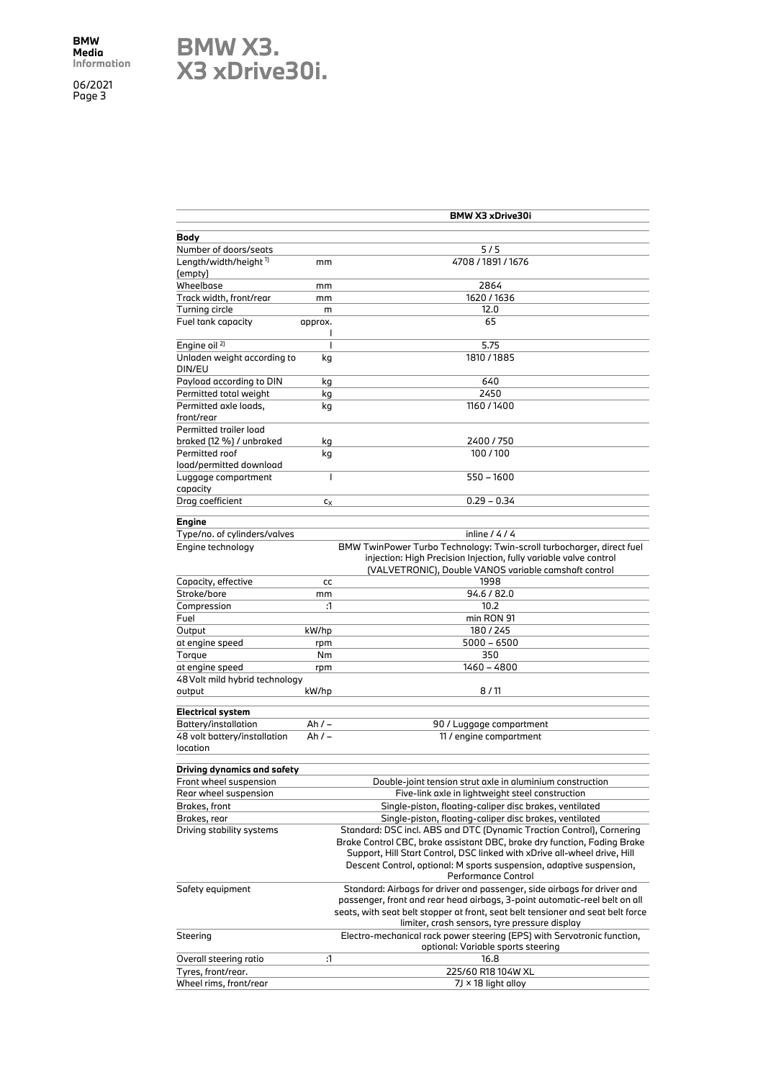## **BMW X3. X3 xDrive30i.**

|                                   |           | BMW X3 xDrive30i                                                                |
|-----------------------------------|-----------|---------------------------------------------------------------------------------|
| Body                              |           |                                                                                 |
| Number of doors/seats             |           | 5/5                                                                             |
| Length/width/height <sup>1)</sup> | mm        | 4708 / 1891 / 1676                                                              |
| (empty)                           |           |                                                                                 |
| Wheelbase                         | mm        | 2864                                                                            |
| Track width, front/rear           | mm        | 1620 / 1636                                                                     |
| Turning circle                    | m         | 12.0                                                                            |
| Fuel tank capacity                | approx.   | 65                                                                              |
|                                   | I         |                                                                                 |
| Engine oil <sup>2)</sup>          | I         | 5.75                                                                            |
| Unladen weight according to       | kg        | 1810 / 1885                                                                     |
| DIN/EU                            |           |                                                                                 |
| Payload according to DIN          | kg        | 640                                                                             |
| Permitted total weight            | kg        | 2450                                                                            |
| Permitted axle loads,             | kg        | 1160/1400                                                                       |
| front/rear                        |           |                                                                                 |
| Permitted trailer load            |           |                                                                                 |
| braked (12 %) / unbraked          | kg        | 2400/750                                                                        |
| Permitted roof                    | kg        | 100/100                                                                         |
| load/permitted download           |           |                                                                                 |
| Luggage compartment               | I         | $550 - 1600$                                                                    |
| capacity                          |           |                                                                                 |
| Drag coefficient                  | Cx        | $0.29 - 0.34$                                                                   |
|                                   |           |                                                                                 |
| Engine                            |           |                                                                                 |
| Type/no. of cylinders/valves      |           | inline $/4/4$                                                                   |
| Engine technology                 |           | BMW TwinPower Turbo Technology: Twin-scroll turbocharger, direct fuel           |
|                                   |           | injection: High Precision Injection, fully variable valve control               |
|                                   |           | (VALVETRONIC), Double VANOS variable camshaft control                           |
| Capacity, effective               | cc        | 1998                                                                            |
| Stroke/bore                       | mm        | 94.6 / 82.0                                                                     |
| Compression                       | :1        | 10.2                                                                            |
| Fuel                              |           | min RON 91                                                                      |
| Output                            | kW/hp     | 180/245                                                                         |
| at engine speed                   |           | $5000 - 6500$                                                                   |
|                                   | rpm<br>Nm | 350                                                                             |
| Torque                            |           | 1460 - 4800                                                                     |
| at engine speed                   | rpm       |                                                                                 |
| 48 Volt mild hybrid technology    |           |                                                                                 |
| output                            | kW/hp     | 8/11                                                                            |
| <b>Electrical system</b>          |           |                                                                                 |
| Battery/installation              | $Ah/-$    | 90 / Luggage compartment                                                        |
| 48 volt battery/installation      | Ah $/ -$  | 11 / engine compartment                                                         |
| location                          |           |                                                                                 |
|                                   |           |                                                                                 |
| Driving dynamics and safety       |           |                                                                                 |
| Front wheel suspension            |           | Double-joint tension strut axle in aluminium construction                       |
| Rear wheel suspension             |           | Five-link axle in lightweight steel construction                                |
| Brakes, front                     |           | Single-piston, floating-caliper disc brakes, ventilated                         |
| Brakes, rear                      |           | Single-piston, floating-caliper disc brakes, ventilated                         |
| Driving stability systems         |           | Standard: DSC incl. ABS and DTC (Dynamic Traction Control), Cornering           |
|                                   |           | Brake Control CBC, brake assistant DBC, brake dry function, Fading Brake        |
|                                   |           | Support, Hill Start Control, DSC linked with xDrive all-wheel drive, Hill       |
|                                   |           | Descent Control, optional: M sports suspension, adaptive suspension,            |
|                                   |           | <b>Performance Control</b>                                                      |
| Safety equipment                  |           | Standard: Airbags for driver and passenger, side airbags for driver and         |
|                                   |           | passenger, front and rear head airbags, 3-point automatic-reel belt on all      |
|                                   |           | seats, with seat belt stopper at front, seat belt tensioner and seat belt force |
|                                   |           | limiter, crash sensors, tyre pressure display                                   |
| Steering                          |           | Electro-mechanical rack power steering (EPS) with Servotronic function,         |
|                                   |           | optional: Variable sports steering                                              |
| Overall steering ratio            | :1        | 16.8                                                                            |
| Tyres, front/rear.                |           | 225/60 R18 104W XL                                                              |
| Wheel rims, front/rear            |           | 7J × 18 light alloy                                                             |
|                                   |           |                                                                                 |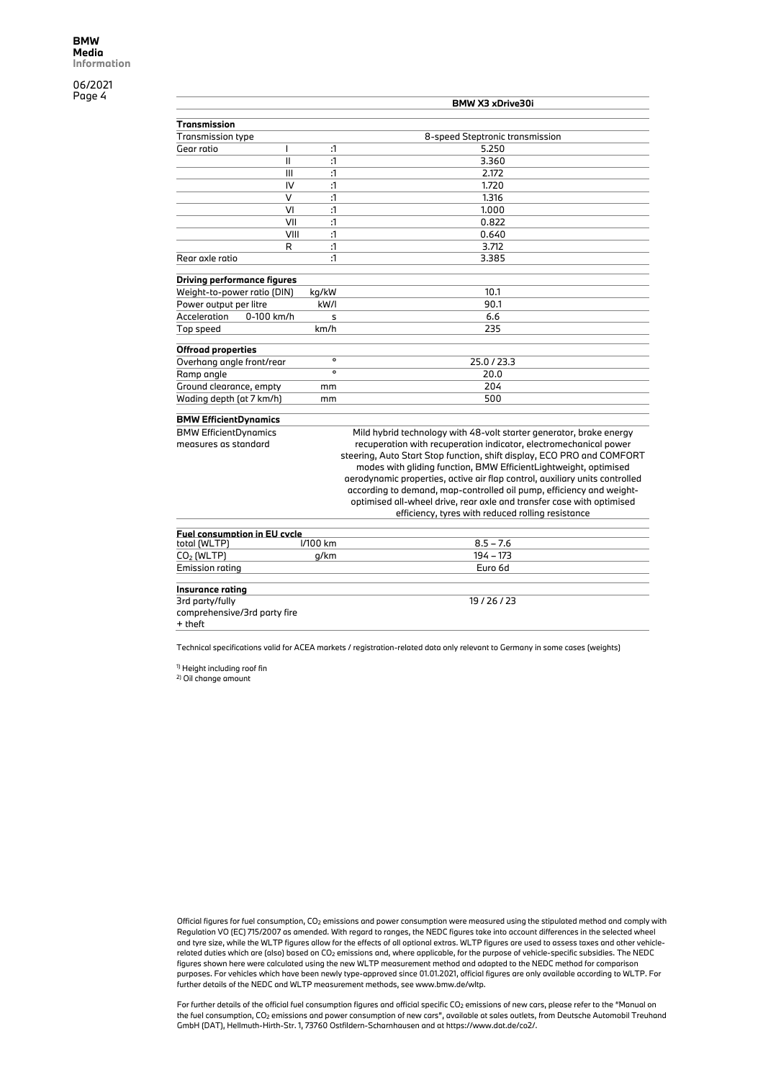|                                     |               |              | BMW X3 xDrive30i                                                            |
|-------------------------------------|---------------|--------------|-----------------------------------------------------------------------------|
| <b>Transmission</b>                 |               |              |                                                                             |
| <b>Transmission type</b>            |               |              | 8-speed Steptronic transmission                                             |
| Gear ratio                          | ı             | :1           | 5.250                                                                       |
|                                     | $\mathbf{II}$ | :1           | 3.360                                                                       |
|                                     | III           | :1           | 2.172                                                                       |
|                                     | IV            | :1           | 1,720                                                                       |
|                                     | $\vee$        | $\mathbf{1}$ | 1.316                                                                       |
|                                     | VI            | $\mathbf{1}$ | 1.000                                                                       |
|                                     | VII           | :1           | 0.822                                                                       |
|                                     | VIII          | $\mathbf{1}$ | 0.640                                                                       |
|                                     | R             | $\mathbf{1}$ | 3.712                                                                       |
| Rear axle ratio                     |               | $\mathbf{1}$ | 3.385                                                                       |
| <b>Driving performance figures</b>  |               |              |                                                                             |
| Weight-to-power ratio (DIN)         |               | kg/kW        | 10.1                                                                        |
| Power output per litre              |               | kW/I         | 90.1                                                                        |
| 0-100 km/h<br>Acceleration          |               | s            | 6.6                                                                         |
| Top speed                           |               | km/h         | 235                                                                         |
| <b>Offroad properties</b>           |               |              |                                                                             |
| Overhang angle front/rear           |               | $\circ$      | 25.0 / 23.3                                                                 |
| Ramp angle                          |               | $\circ$      | 20.0                                                                        |
| Ground clearance, empty             |               | mm           | 204                                                                         |
| Wading depth (at 7 km/h)            |               | mm           | 500                                                                         |
| <b>BMW EfficientDynamics</b>        |               |              |                                                                             |
| <b>BMW EfficientDynamics</b>        |               |              | Mild hybrid technology with 48-volt starter generator, brake energy         |
| measures as standard                |               |              | recuperation with recuperation indicator, electromechanical power           |
|                                     |               |              | steering, Auto Start Stop function, shift display, ECO PRO and COMFORT      |
|                                     |               |              | modes with gliding function, BMW EfficientLightweight, optimised            |
|                                     |               |              | aerodynamic properties, active air flap control, auxiliary units controlled |
|                                     |               |              | according to demand, map-controlled oil pump, efficiency and weight-        |
|                                     |               |              | optimised all-wheel drive, rear axle and transfer case with optimised       |
|                                     |               |              | efficiency, tyres with reduced rolling resistance                           |
| <b>Fuel consumption in EU cycle</b> |               |              |                                                                             |
| total (WLTP)                        |               | I/100 km     | $8.5 - 7.6$                                                                 |
| $CO2$ (WLTP)                        |               | g/km         | $194 - 173$                                                                 |

| total (WLTP)                 | 1/100 km | $8.5 - 7.6$ |  |
|------------------------------|----------|-------------|--|
| $CO2$ (WLTP)                 | g/km     | 194 – 173   |  |
| <b>Emission rating</b>       |          | Euro 6d     |  |
|                              |          |             |  |
| Insurance rating             |          |             |  |
| 3rd party/fully              |          | 19/26/23    |  |
| comprehensive/3rd party fire |          |             |  |
| + theft                      |          |             |  |

Technical specifications valid for ACEA markets / registration-related data only relevant to Germany in some cases (weights)

1) Height including roof fin

2) Oil change amount

Official figures for fuel consumption, CO2 emissions and power consumption were measured using the stipulated method and comply with Regulation VO (EC) 715/2007 as amended. With regard to ranges, the NEDC figures take into account differences in the selected wheel and tyre size, while the WLTP figures allow for the effects of all optional extras. WLTP figures are used to assess taxes and other vehiclerelated duties which are (also) based on CO2 emissions and, where applicable, for the purpose of vehicle-specific subsidies. The NEDC figures shown here were calculated using the new WLTP measurement method and adapted to the NEDC method for comparison purposes. For vehicles which have been newly type-approved since 01.01.2021, official figures are only available according to WLTP. For further details of the NEDC and WLTP measurement methods, see www.bmw.de/wltp.

For further details of the official fuel consumption figures and official specific CO<sub>2</sub> emissions of new cars, please refer to the "Manual on the fuel consumption, CO2 emissions and power consumption of new cars", available at sales outlets, from Deutsche Automobil Treuhand GmbH (DAT), Hellmuth-Hirth-Str. 1, 73760 Ostfildern-Scharnhausen and at https://www.dat.de/co2/.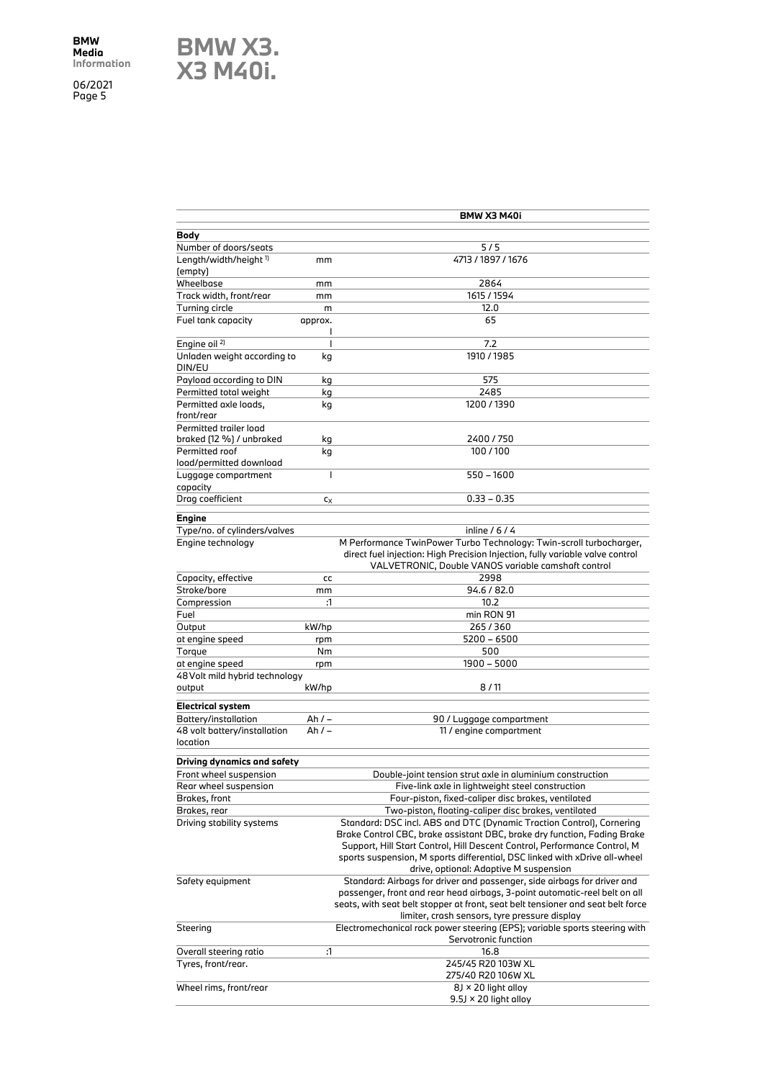**BMW X3. X3 M40i.**

**BMW X3 M40i Body** Number of doors/seats 5/5 Length/width/height<sup>1)</sup> (empty) mm 4713 / 1897 / 1676 Wheelbase mm 2864 Track width, front/rear mm 1615 / 1594 Turning circle m m 12.0 Fuel tank capacity **approx.** l 65 Engine oil<sup>2)</sup> and  $\overline{z}$  and  $\overline{z}$  7.2 Unladen weight according to DIN/EU kg 1910 / 1985 Payload according to DIN kg 675 Permitted total weight kg kg 2485 Permitted axle loads, front/rear kg 1200 / 1390 Permitted trailer load braked (12 %) / unbraked kg 2400 / 750 Permitted roof load/permitted download kg 100 / 100 Luggage compartment capacity l 550 – 1600  $\frac{1}{2}$ Drag coefficient cx cx 0.33 – 0.35 **Engine** Type/no. of cylinders/valves inline / 6 / 4 Engine technology M Performance TwinPower Turbo Technology: Twin-scroll turbocharger, direct fuel injection: High Precision Injection, fully variable valve control VALVETRONIC, Double VANOS variable camshaft control Capacity, effective cc contract contract contract contract contract contract contract contract contract contract contract contract contract contract contract contract contract contract contract contract contract contract c Stroke/bore mm 94.6 / 82.0 Compression :1 10.2 Fuel min RON 91 Output kW/hp 265 / 360 at engine speed rpm 5200 – 6500 Torque Nm 500 at engine speed rpm rpm 1900 – 5000 48Volt mild hybrid technology output kW/hp 8 / 11 **Electrical system** Battery/installation Ah / – 2012 Ah / – 90 / Luggage compartment 48 volt battery/installation location Ah / – 11 / engine compartment **Driving dynamics and safety** Front wheel suspension Double-joint tension strut axle in aluminium construction Rear wheel suspension **Five-link axle in lightweight steel construction** Brakes, front Four-piston, fixed-caliper disc brakes, ventilated Brakes, rear Two-piston, floating-caliper disc brakes, ventilated Standard: DSC incl. ABS and DTC (Dynamic Traction Control), Cornering Brake Control CBC, brake assistant DBC, brake dry function, Fading Brake Support, Hill Start Control, Hill Descent Control, Performance Control, M sports suspension, M sports differential, DSC linked with xDrive all-wheel drive, optional: Adaptive M suspension Safety equipment Standard: Airbags for driver and passenger, side airbags for driver and passenger, front and rear head airbags, 3-point automatic-reel belt on all seats, with seat belt stopper at front, seat belt tensioner and seat belt force limiter, crash sensors, tyre pressure display Steering Electromechanical rack power steering (EPS); variable sports steering with Servotronic function Overall steering ratio :1 Tyres, front/rear. 245/45 R20 103W XL 275/40 R20 106W XL Wheel rims, front/rear  $8J \times 20$  light alloy 9.5J × 20 light alloy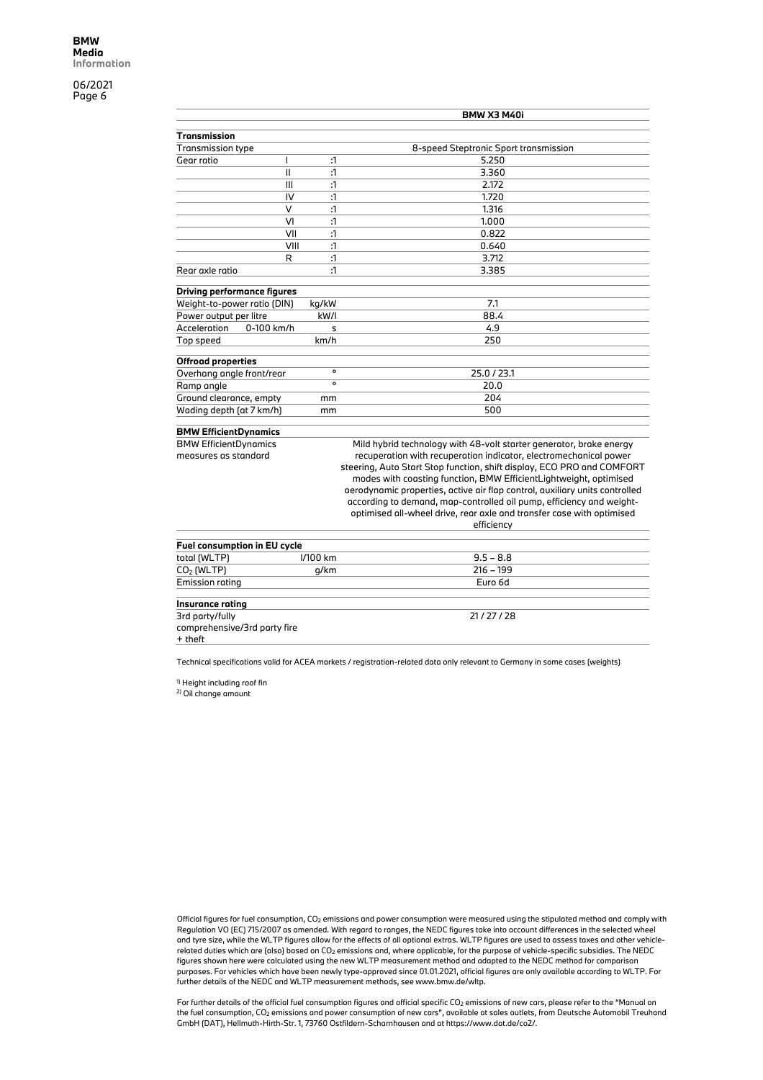|                                    |                        | <b>BMW X3 M40i</b>                                                          |
|------------------------------------|------------------------|-----------------------------------------------------------------------------|
| <b>Transmission</b>                |                        |                                                                             |
| <b>Transmission type</b>           |                        | 8-speed Steptronic Sport transmission                                       |
| Gear ratio<br>I                    | ĭ1                     | 5.250                                                                       |
| $\mathbf{I}$                       | $\mathbf{1}$           | 3.360                                                                       |
|                                    | $\mathbf{1}$<br>III    | 2.172                                                                       |
|                                    | IV<br>$\mathbf{1}$     | 1.720                                                                       |
|                                    | $\vee$<br>$\mathbf{1}$ | 1.316                                                                       |
|                                    | VI<br>:1               | 1.000                                                                       |
|                                    | VII<br>$\mathbf{1}$    | 0.822                                                                       |
|                                    | VIII<br>$\mathbf{1}$   | 0.640                                                                       |
|                                    | $\mathbf{1}$<br>R      | 3.712                                                                       |
| Rear axle ratio                    | $\mathbf{1}$           | 3.385                                                                       |
|                                    |                        |                                                                             |
| <b>Driving performance figures</b> |                        |                                                                             |
| Weight-to-power ratio (DIN)        | kg/kW                  | 7.1                                                                         |
| Power output per litre             | kW/I                   | 88.4                                                                        |
| Acceleration<br>0-100 km/h         | s                      | 4.9                                                                         |
| Top speed                          | km/h                   | 250                                                                         |
| <b>Offroad properties</b>          |                        |                                                                             |
| Overhang angle front/rear          | $\circ$                | 25.0 / 23.1                                                                 |
| Ramp angle                         | $\circ$                | 20.0                                                                        |
| Ground clearance, empty            | mm                     | 204                                                                         |
| Wading depth (at 7 km/h)           | mm                     | 500                                                                         |
|                                    |                        |                                                                             |
| <b>BMW EfficientDynamics</b>       |                        |                                                                             |
| <b>BMW EfficientDynamics</b>       |                        | Mild hybrid technology with 48-volt starter generator, brake energy         |
| measures as standard               |                        | recuperation with recuperation indicator, electromechanical power           |
|                                    |                        | steering, Auto Start Stop function, shift display, ECO PRO and COMFORT      |
|                                    |                        | modes with coasting function, BMW EfficientLightweight, optimised           |
|                                    |                        | aerodynamic properties, active air flap control, auxiliary units controlled |
|                                    |                        | according to demand, map-controlled oil pump, efficiency and weight-        |
|                                    |                        | optimised all-wheel drive, rear axle and transfer case with optimised       |
|                                    |                        | efficiency                                                                  |
|                                    |                        |                                                                             |
| Fuel consumption in EU cycle       |                        |                                                                             |
| total (WLTP)                       | I/100 km               | $9.5 - 8.8$                                                                 |
| $CO2$ (WLTP)                       | g/km                   | $216 - 199$                                                                 |
| <b>Emission rating</b>             |                        | Euro 6d                                                                     |

**Insurance rating** 3rd party/fully comprehensive/3rd party fire  $+$  theft 21 / 27 / 28

Technical specifications valid for ACEA markets / registration-related data only relevant to Germany in some cases (weights)

1) Height including roof fin

2) Oil change amount

Official figures for fuel consumption, CO2 emissions and power consumption were measured using the stipulated method and comply with Regulation VO (EC) 715/2007 as amended. With regard to ranges, the NEDC figures take into account differences in the selected wheel and tyre size, while the WLTP figures allow for the effects of all optional extras. WLTP figures are used to assess taxes and other vehiclerelated duties which are (also) based on CO2 emissions and, where applicable, for the purpose of vehicle-specific subsidies. The NEDC figures shown here were calculated using the new WLTP measurement method and adapted to the NEDC method for comparison purposes. For vehicles which have been newly type-approved since 01.01.2021, official figures are only available according to WLTP. For further details of the NEDC and WLTP measurement methods, see www.bmw.de/wltp.

For further details of the official fuel consumption figures and official specific CO2 emissions of new cars, please refer to the "Manual on<br>the fuel consumption, CO2 emissions and power consumption of new cars", available GmbH (DAT), Hellmuth-Hirth-Str. 1, 73760 Ostfildern-Scharnhausen and at https://www.dat.de/co2/.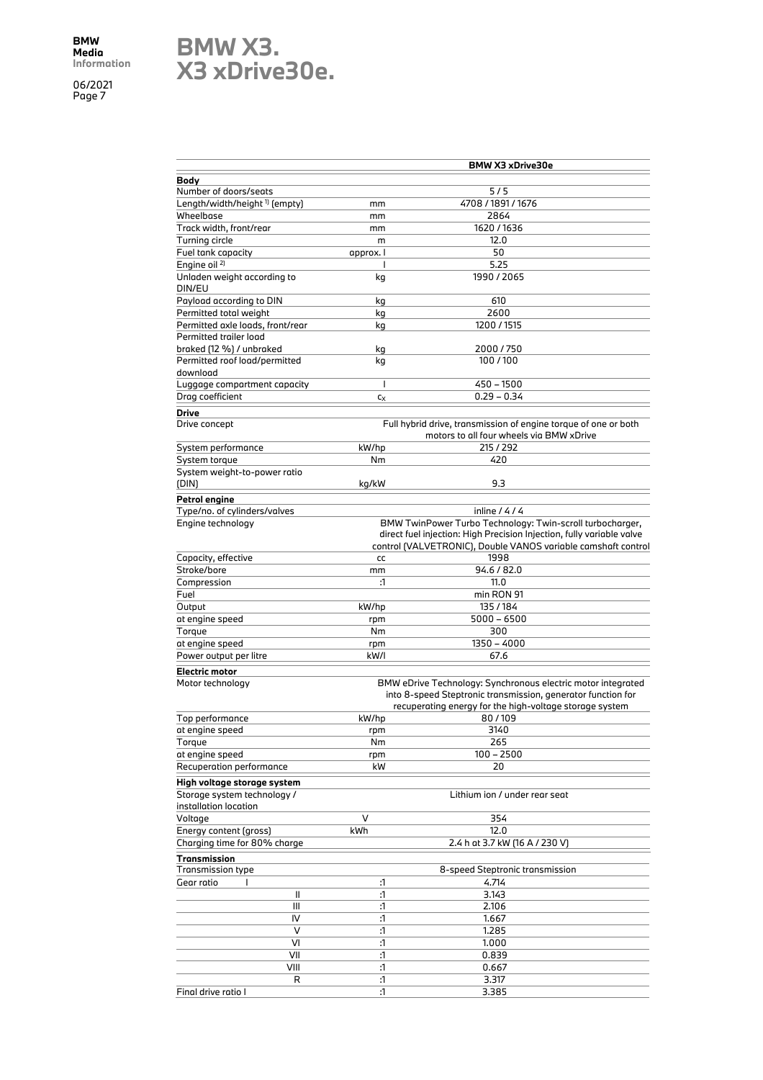# **BMW X3. X3 xDrive30e.**

|                                                            |                | <b>BMW X3 xDrive30e</b>                                                                                                                                                                 |
|------------------------------------------------------------|----------------|-----------------------------------------------------------------------------------------------------------------------------------------------------------------------------------------|
| Body                                                       |                |                                                                                                                                                                                         |
| Number of doors/seats                                      |                | $5/5$                                                                                                                                                                                   |
| Length/width/height <sup>1)</sup> (empty)                  | mm             | 4708 / 1891 / 1676                                                                                                                                                                      |
| Wheelbase                                                  | mm             | 2864                                                                                                                                                                                    |
| Track width, front/rear                                    | mm             | 1620 / 1636                                                                                                                                                                             |
| Turning circle                                             | m              | 12.0                                                                                                                                                                                    |
| Fuel tank capacity                                         | approx. I      | 50                                                                                                                                                                                      |
| Engine oil <sup>2)</sup>                                   |                | 5.25                                                                                                                                                                                    |
| Unladen weight according to<br>DIN/EU                      | kg             | 1990 / 2065                                                                                                                                                                             |
| Payload according to DIN                                   | kg             | 610                                                                                                                                                                                     |
| Permitted total weight                                     | kg             | 2600                                                                                                                                                                                    |
| Permitted axle loads, front/rear                           | kg             | 1200 / 1515                                                                                                                                                                             |
| Permitted trailer load<br>braked (12 %) / unbraked         |                | 2000/750                                                                                                                                                                                |
| Permitted roof load/permitted                              | kg<br>kg       | 100/100                                                                                                                                                                                 |
| download                                                   |                |                                                                                                                                                                                         |
| Luggage compartment capacity                               | $\overline{1}$ | 450 - 1500                                                                                                                                                                              |
| Drag coefficient                                           | $c_X$          | $0.29 - 0.34$                                                                                                                                                                           |
|                                                            |                |                                                                                                                                                                                         |
| <b>Drive</b>                                               |                | Full hybrid drive, transmission of engine torque of one or both                                                                                                                         |
| Drive concept                                              |                | motors to all four wheels via BMW xDrive                                                                                                                                                |
| System performance                                         | kW/hp          | 215 / 292                                                                                                                                                                               |
| System torque                                              | Nm             | 420                                                                                                                                                                                     |
| System weight-to-power ratio                               |                |                                                                                                                                                                                         |
| (DIN)                                                      | kg/kW          | 9.3                                                                                                                                                                                     |
| Petrol engine                                              |                |                                                                                                                                                                                         |
| Type/no. of cylinders/valves                               |                | inline $/4/4$                                                                                                                                                                           |
| Engine technology                                          |                | BMW TwinPower Turbo Technology: Twin-scroll turbocharger,                                                                                                                               |
|                                                            |                | direct fuel injection: High Precision Injection, fully variable valve<br>control (VALVETRONIC), Double VANOS variable camshaft control                                                  |
| Capacity, effective                                        | cc             | 1998                                                                                                                                                                                    |
| Stroke/bore                                                | mm             | 94.6 / 82.0                                                                                                                                                                             |
| Compression                                                | :1             | 11.0                                                                                                                                                                                    |
| Fuel                                                       |                | min RON 91                                                                                                                                                                              |
| Output                                                     | kW/hp          | 135/184                                                                                                                                                                                 |
| at engine speed                                            | rpm            | $5000 - 6500$                                                                                                                                                                           |
| Torque                                                     | Nm             | 300                                                                                                                                                                                     |
| at engine speed                                            | rpm            | $1350 - 4000$                                                                                                                                                                           |
| Power output per litre                                     | kW/I           | 67.6                                                                                                                                                                                    |
| Electric motor                                             |                |                                                                                                                                                                                         |
| Motor technology                                           |                | BMW eDrive Technology: Synchronous electric motor integrated<br>into 8-speed Steptronic transmission, generator function for<br>recuperating energy for the high-voltage storage system |
| Top performance                                            | kW/hp          | 80/109                                                                                                                                                                                  |
| at engine speed                                            | rpm            | 3140                                                                                                                                                                                    |
| Torque                                                     | Nm             | 265                                                                                                                                                                                     |
| at engine speed                                            | rpm            | $100 - 2500$                                                                                                                                                                            |
| Recuperation performance                                   | kW             | 20                                                                                                                                                                                      |
| High voltage storage system<br>Storage system technology / |                | Lithium ion / under rear seat                                                                                                                                                           |
| installation location                                      |                |                                                                                                                                                                                         |
| Voltage                                                    | V              | 354<br>12.0                                                                                                                                                                             |
| Energy content (gross)                                     | kWh            | 2.4 h at 3.7 kW (16 A / 230 V)                                                                                                                                                          |
| Charging time for 80% charge                               |                |                                                                                                                                                                                         |
| <b>Transmission</b><br><b>Transmission type</b>            |                | 8-speed Steptronic transmission                                                                                                                                                         |
| Gear ratio                                                 | :1             | 4.714                                                                                                                                                                                   |
| Ш                                                          | :1             | 3.143                                                                                                                                                                                   |
| Ш                                                          | :1             | 2.106                                                                                                                                                                                   |
| IV                                                         | $\mathbf{1}$   | 1.667                                                                                                                                                                                   |
| V                                                          | :1             | 1.285                                                                                                                                                                                   |
| VI                                                         | :1             | 1.000                                                                                                                                                                                   |
| VII                                                        | $\Lambda$      | 0.839                                                                                                                                                                                   |
| VIII                                                       | :1             | 0.667                                                                                                                                                                                   |
| R                                                          | :1             | 3.317                                                                                                                                                                                   |
| Final drive ratio I                                        | :1             | 3.385                                                                                                                                                                                   |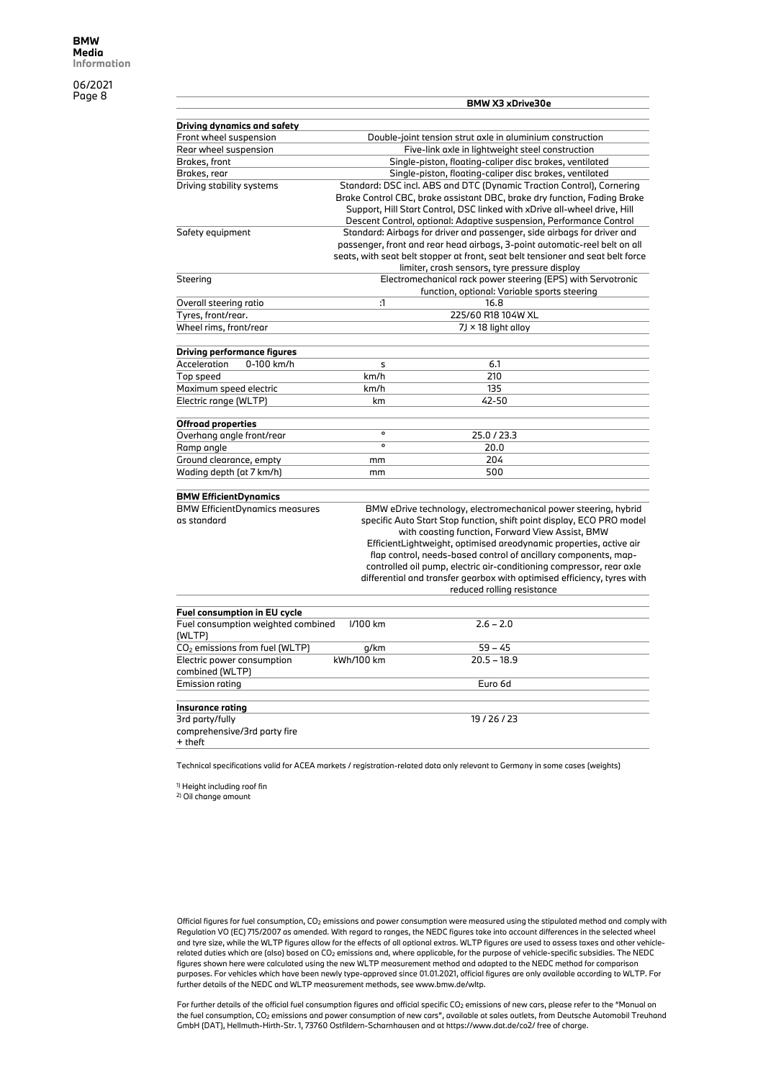|                                                      |                                                           | BMW X3 xDrive30e                                                                                                                                                                                                                                                                                                                                                                                                                                                                                                       |  |  |  |
|------------------------------------------------------|-----------------------------------------------------------|------------------------------------------------------------------------------------------------------------------------------------------------------------------------------------------------------------------------------------------------------------------------------------------------------------------------------------------------------------------------------------------------------------------------------------------------------------------------------------------------------------------------|--|--|--|
|                                                      |                                                           |                                                                                                                                                                                                                                                                                                                                                                                                                                                                                                                        |  |  |  |
| <b>Driving dynamics and safety</b>                   |                                                           |                                                                                                                                                                                                                                                                                                                                                                                                                                                                                                                        |  |  |  |
| Front wheel suspension                               | Double-joint tension strut axle in aluminium construction |                                                                                                                                                                                                                                                                                                                                                                                                                                                                                                                        |  |  |  |
| Rear wheel suspension                                |                                                           | Five-link axle in lightweight steel construction                                                                                                                                                                                                                                                                                                                                                                                                                                                                       |  |  |  |
| Brakes, front                                        |                                                           | Single-piston, floating-caliper disc brakes, ventilated                                                                                                                                                                                                                                                                                                                                                                                                                                                                |  |  |  |
| Brakes, rear                                         |                                                           | Single-piston, floating-caliper disc brakes, ventilated                                                                                                                                                                                                                                                                                                                                                                                                                                                                |  |  |  |
| Driving stability systems                            |                                                           | Standard: DSC incl. ABS and DTC (Dynamic Traction Control), Cornering<br>Brake Control CBC, brake assistant DBC, brake dry function, Fading Brake<br>Support, Hill Start Control, DSC linked with xDrive all-wheel drive, Hill<br>Descent Control, optional: Adaptive suspension, Performance Control                                                                                                                                                                                                                  |  |  |  |
| Safety equipment                                     |                                                           | Standard: Airbags for driver and passenger, side airbags for driver and<br>passenger, front and rear head airbags, 3-point automatic-reel belt on all<br>seats, with seat belt stopper at front, seat belt tensioner and seat belt force<br>limiter, crash sensors, tyre pressure display                                                                                                                                                                                                                              |  |  |  |
| Steering                                             |                                                           | Electromechanical rack power steering (EPS) with Servotronic<br>function, optional: Variable sports steering                                                                                                                                                                                                                                                                                                                                                                                                           |  |  |  |
| Overall steering ratio                               | $\cdot$ 1                                                 | 16.8                                                                                                                                                                                                                                                                                                                                                                                                                                                                                                                   |  |  |  |
| Tyres, front/rear.                                   |                                                           | 225/60 R18 104W XL                                                                                                                                                                                                                                                                                                                                                                                                                                                                                                     |  |  |  |
| Wheel rims, front/rear                               |                                                           | $7J \times 18$ light alloy                                                                                                                                                                                                                                                                                                                                                                                                                                                                                             |  |  |  |
|                                                      |                                                           |                                                                                                                                                                                                                                                                                                                                                                                                                                                                                                                        |  |  |  |
| <b>Driving performance figures</b>                   |                                                           |                                                                                                                                                                                                                                                                                                                                                                                                                                                                                                                        |  |  |  |
| Acceleration<br>0-100 km/h                           | s                                                         | 6.1                                                                                                                                                                                                                                                                                                                                                                                                                                                                                                                    |  |  |  |
| Top speed                                            | km/h                                                      | 210                                                                                                                                                                                                                                                                                                                                                                                                                                                                                                                    |  |  |  |
| Maximum speed electric                               | km/h                                                      | 135                                                                                                                                                                                                                                                                                                                                                                                                                                                                                                                    |  |  |  |
| Electric range (WLTP)                                | km                                                        | 42-50                                                                                                                                                                                                                                                                                                                                                                                                                                                                                                                  |  |  |  |
|                                                      |                                                           |                                                                                                                                                                                                                                                                                                                                                                                                                                                                                                                        |  |  |  |
| <b>Offroad properties</b>                            |                                                           |                                                                                                                                                                                                                                                                                                                                                                                                                                                                                                                        |  |  |  |
| Overhang angle front/rear                            | $\mathbf{o}$                                              | 25.0 / 23.3                                                                                                                                                                                                                                                                                                                                                                                                                                                                                                            |  |  |  |
| Ramp angle                                           | $\overline{\bullet}$                                      | 20.0                                                                                                                                                                                                                                                                                                                                                                                                                                                                                                                   |  |  |  |
| Ground clearance, empty                              | mm                                                        | 204                                                                                                                                                                                                                                                                                                                                                                                                                                                                                                                    |  |  |  |
| Wading depth (at 7 km/h)                             | mm                                                        | 500                                                                                                                                                                                                                                                                                                                                                                                                                                                                                                                    |  |  |  |
|                                                      |                                                           |                                                                                                                                                                                                                                                                                                                                                                                                                                                                                                                        |  |  |  |
| <b>BMW EfficientDynamics</b>                         |                                                           |                                                                                                                                                                                                                                                                                                                                                                                                                                                                                                                        |  |  |  |
| <b>BMW EfficientDynamics measures</b><br>as standard |                                                           | BMW eDrive technology, electromechanical power steering, hybrid<br>specific Auto Start Stop function, shift point display, ECO PRO model<br>with coasting function, Forward View Assist, BMW<br>EfficientLightweight, optimised areodynamic properties, active air<br>flap control, needs-based control of ancillary components, map-<br>controlled oil pump, electric air-conditioning compressor, rear axle<br>differential and transfer gearbox with optimised efficiency, tyres with<br>reduced rolling resistance |  |  |  |
| Fuel consumption in EU cycle                         |                                                           |                                                                                                                                                                                                                                                                                                                                                                                                                                                                                                                        |  |  |  |
| Fuel consumption weighted combined<br>(WLTP)         | I/100 km                                                  | $2.6 - 2.0$                                                                                                                                                                                                                                                                                                                                                                                                                                                                                                            |  |  |  |
| CO <sub>2</sub> emissions from fuel (WLTP)           | g/km                                                      | $59 - 45$                                                                                                                                                                                                                                                                                                                                                                                                                                                                                                              |  |  |  |
| Electric power consumption<br>combined (WLTP)        | kWh/100 km                                                | $20.5 - 18.9$                                                                                                                                                                                                                                                                                                                                                                                                                                                                                                          |  |  |  |
| <b>Emission rating</b>                               |                                                           | Euro 6d                                                                                                                                                                                                                                                                                                                                                                                                                                                                                                                |  |  |  |
| Insurance rating                                     |                                                           |                                                                                                                                                                                                                                                                                                                                                                                                                                                                                                                        |  |  |  |
| 3rd party/fully                                      |                                                           | 19/26/23                                                                                                                                                                                                                                                                                                                                                                                                                                                                                                               |  |  |  |
| comprehensive/3rd party fire<br>+ theft              |                                                           |                                                                                                                                                                                                                                                                                                                                                                                                                                                                                                                        |  |  |  |

Technical specifications valid for ACEA markets / registration-related data only relevant to Germany in some cases (weights)

<sup>1)</sup> Height including roof fin<br><sup>2)</sup> Oil change amount

Official figures for fuel consumption, CO2 emissions and power consumption were measured using the stipulated method and comply with Regulation VO (EC) 715/2007 as amended. With regard to ranges, the NEDC figures take into account differences in the selected wheel and tyre size, while the WLTP figures allow for the effects of all optional extras. WLTP figures are used to assess taxes and other vehiclerelated duties which are (also) based on CO2 emissions and, where applicable, for the purpose of vehicle-specific subsidies. The NEDC figures shown here were calculated using the new WLTP measurement method and adapted to the NEDC method for comparison purposes. For vehicles which have been newly type-approved since 01.01.2021, official figures are only available according to WLTP. For further details of the NEDC and WLTP measurement methods, see www.bmw.de/wltp.

For further details of the official fuel consumption figures and official specific CO2 emissions of new cars, please refer to the "Manual on the fuel consumption, CO2 emissions and power consumption of new cars", available at sales outlets, from Deutsche Automobil Treuhand GmbH (DAT), Hellmuth-Hirth-Str. 1, 73760 Ostfildern-Scharnhausen and at https://www.dat.de/co2/ free of charge.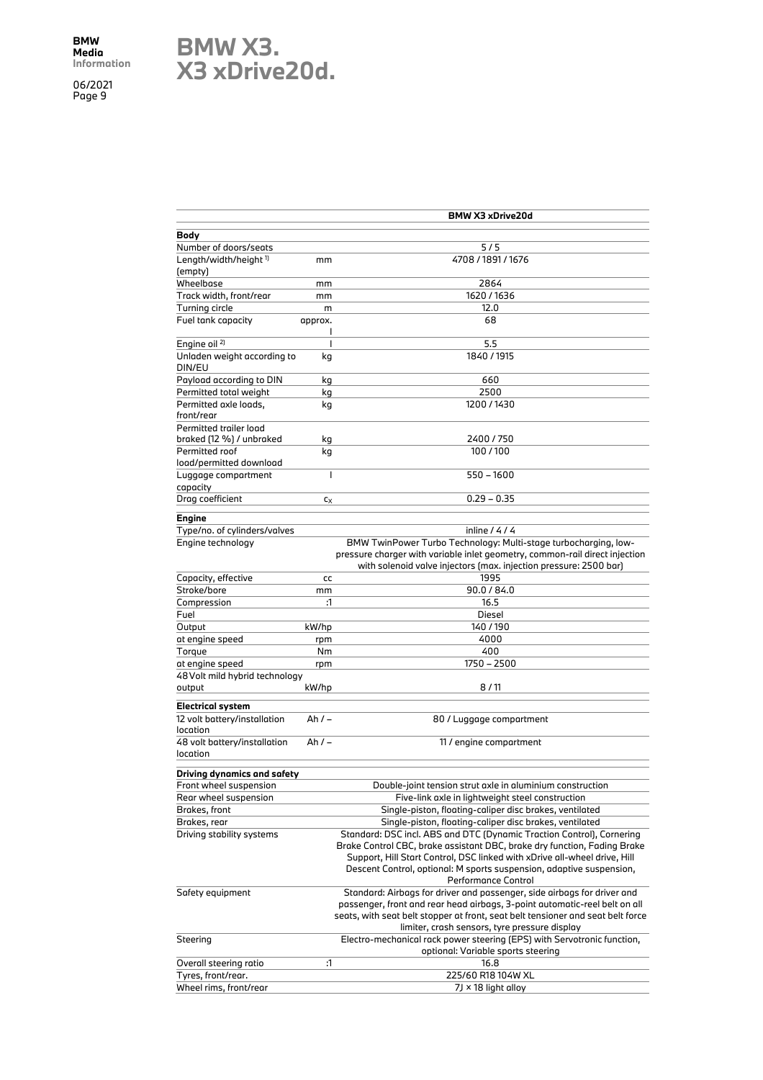### **BMW X3. X3 xDrive20d.**

|                                          |              | BMW X3 xDrive20d                                                                |
|------------------------------------------|--------------|---------------------------------------------------------------------------------|
| Body                                     |              |                                                                                 |
| Number of doors/seats                    |              | 5/5                                                                             |
| Length/width/height <sup>1)</sup>        | mm           | 4708 / 1891 / 1676                                                              |
| (empty)                                  |              |                                                                                 |
| Wheelbase                                |              | 2864                                                                            |
|                                          | mm           |                                                                                 |
| Track width, front/rear                  | mm           | 1620 / 1636                                                                     |
| Turning circle                           | m            | 12.0                                                                            |
| Fuel tank capacity                       | approx.<br>ı | 68                                                                              |
| Engine oil <sup>2)</sup>                 | T            | 5.5                                                                             |
| Unladen weight according to<br>DIN/EU    | kg           | 1840 / 1915                                                                     |
| Payload according to DIN                 | kg           | 660                                                                             |
| Permitted total weight                   | kg           | 2500                                                                            |
| Permitted axle loads,                    |              | 1200/1430                                                                       |
| front/rear                               | kg           |                                                                                 |
|                                          |              |                                                                                 |
| Permitted trailer load                   |              |                                                                                 |
| braked (12 %) / unbraked                 | kg           | 2400 / 750                                                                      |
| Permitted roof                           | kg           | 100/100                                                                         |
| load/permitted download                  |              |                                                                                 |
| Luggage compartment<br>capacity          | I            | $550 - 1600$                                                                    |
| Drag coefficient                         | $c_X$        | $0.29 - 0.35$                                                                   |
|                                          |              |                                                                                 |
| <b>Engine</b>                            |              |                                                                                 |
| Type/no. of cylinders/valves             |              | inline $/4/4$                                                                   |
| Engine technology                        |              | BMW TwinPower Turbo Technology: Multi-stage turbocharging, low-                 |
|                                          |              | pressure charger with variable inlet geometry, common-rail direct injection     |
|                                          |              | with solenoid valve injectors (max. injection pressure: 2500 bar)               |
| Capacity, effective                      | cc           | 1995                                                                            |
| Stroke/bore                              |              | 90.0 / 84.0                                                                     |
|                                          | mm           |                                                                                 |
| Compression                              | :1           | 16.5                                                                            |
| Fuel                                     |              | Diesel                                                                          |
| Output                                   | kW/hp        | 140/190                                                                         |
| at engine speed                          | rpm          | 4000                                                                            |
| Torque                                   | Nm           | 400                                                                             |
| at engine speed                          | rpm          | 1750 - 2500                                                                     |
| 48 Volt mild hybrid technology           |              |                                                                                 |
| output                                   | kW/hp        | 8/11                                                                            |
|                                          |              |                                                                                 |
| <b>Electrical system</b>                 |              |                                                                                 |
| 12 volt battery/installation             | Ah / –       | 80 / Luggage compartment                                                        |
| location                                 |              |                                                                                 |
| 48 volt battery/installation<br>location | Ah $/ -$     | 11 / engine compartment                                                         |
|                                          |              |                                                                                 |
| Driving dynamics and safety              |              |                                                                                 |
| Front wheel suspension                   |              | Double-joint tension strut axle in aluminium construction                       |
| Rear wheel suspension                    |              | Five-link axle in lightweight steel construction                                |
| Brakes, front                            |              | Single-piston, floating-caliper disc brakes, ventilated                         |
| Brakes, rear                             |              | Single-piston, floating-caliper disc brakes, ventilated                         |
| Driving stability systems                |              | Standard: DSC incl. ABS and DTC (Dynamic Traction Control), Cornering           |
|                                          |              | Brake Control CBC, brake assistant DBC, brake dry function, Fading Brake        |
|                                          |              | Support, Hill Start Control, DSC linked with xDrive all-wheel drive, Hill       |
|                                          |              | Descent Control, optional: M sports suspension, adaptive suspension,            |
|                                          |              | Performance Control                                                             |
| Safety equipment                         |              | Standard: Airbags for driver and passenger, side airbags for driver and         |
|                                          |              |                                                                                 |
|                                          |              | passenger, front and rear head airbags, 3-point automatic-reel belt on all      |
|                                          |              | seats, with seat belt stopper at front, seat belt tensioner and seat belt force |
|                                          |              | limiter, crash sensors, tyre pressure display                                   |
| Steering                                 |              | Electro-mechanical rack power steering (EPS) with Servotronic function,         |
|                                          |              | optional: Variable sports steering                                              |
| Overall steering ratio                   | :1           | 16.8                                                                            |
| Tyres, front/rear.                       |              | 225/60 R18 104W XL                                                              |
| Wheel rims, front/rear                   |              | $7J \times 18$ light alloy                                                      |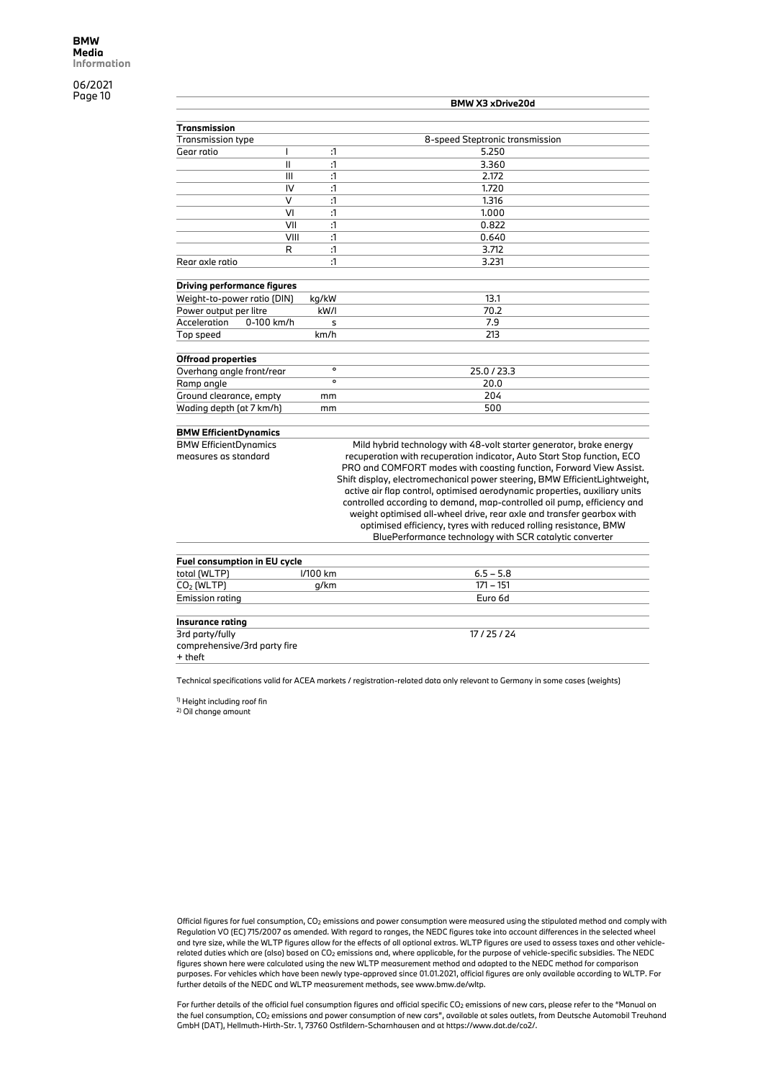|                                    |                |              | BMW X3 xDrive20d                |
|------------------------------------|----------------|--------------|---------------------------------|
|                                    |                |              |                                 |
| Transmission                       |                |              |                                 |
| <b>Transmission type</b>           |                |              | 8-speed Steptronic transmission |
| Gear ratio                         |                | $\mathbf{1}$ | 5.250                           |
|                                    | $\mathsf{II}$  | :1           | 3.360                           |
|                                    | $\mathbf{III}$ | $\cdot$ 1    | 2.172                           |
|                                    | IV             | :1           | 1.720                           |
|                                    | $\vee$         | $\mathbf{1}$ | 1.316                           |
|                                    | VI             | :1           | 1.000                           |
|                                    | VII            | $\cdot$ 1    | 0.822                           |
|                                    | VIII           | :1           | 0.640                           |
|                                    | R              | :1           | 3.712                           |
| Rear axle ratio                    |                | :1           | 3.231                           |
| <b>Driving performance figures</b> |                |              |                                 |
| Weight-to-power ratio (DIN)        |                | kg/kW        | 13.1                            |
| Power output per litre             |                | kW/I         | 70.2                            |
| Acceleration                       | 0-100 km/h     |              | 7.9                             |
|                                    |                | s            |                                 |
| Top speed                          |                | km/h         | 213                             |
| <b>Offroad properties</b>          |                |              |                                 |
| Overhang angle front/rear          |                | $\circ$      | 25.0/23.3                       |
| Ramp angle                         |                | $\Omega$     | 20.0                            |
| Ground clearance, empty            |                | mm           | 204                             |
| Wading depth (at 7 km/h)           |                | mm           | 500                             |
|                                    |                |              |                                 |

#### **BMW EfficientDynamics**

BMW EfficientDynamics measures as standard

Mild hybrid technology with 48-volt starter generator, brake energy recuperation with recuperation indicator, Auto Start Stop function, ECO PRO and COMFORT modes with coasting function, Forward View Assist. Shift display, electromechanical power steering, BMW EfficientLightweight, active air flap control, optimised aerodynamic properties, auxiliary units controlled according to demand, map-controlled oil pump, efficiency and weight optimised all-wheel drive, rear axle and transfer gearbox with optimised efficiency, tyres with reduced rolling resistance, BMW BluePerformance technology with SCR catalytic converter

| Fuel consumption in EU cycle |          |             |  |  |  |
|------------------------------|----------|-------------|--|--|--|
| total (WLTP)                 | I/100 km | $6.5 - 5.8$ |  |  |  |
| CO <sub>2</sub> (WLTP)       | q/km     | $171 - 151$ |  |  |  |
| Emission rating              |          | Euro 6d     |  |  |  |
|                              |          |             |  |  |  |
| Insurance rating             |          |             |  |  |  |
| 3rd party/fully              |          | 17/25/24    |  |  |  |
| comprehensive/3rd party fire |          |             |  |  |  |
| + theft                      |          |             |  |  |  |
|                              |          |             |  |  |  |

Technical specifications valid for ACEA markets / registration-related data only relevant to Germany in some cases (weights)

1) Height including roof fin

2) Oil change amount

Official figures for fuel consumption, CO2 emissions and power consumption were measured using the stipulated method and comply with Regulation VO (EC) 715/2007 as amended. With regard to ranges, the NEDC figures take into account differences in the selected wheel and tyre size, while the WLTP figures allow for the effects of all optional extras. WLTP figures are used to assess taxes and other vehiclerelated duties which are (also) based on CO2 emissions and, where applicable, for the purpose of vehicle-specific subsidies. The NEDC figures shown here were calculated using the new WLTP measurement method and adapted to the NEDC method for comparison purposes. For vehicles which have been newly type-approved since 01.01.2021, official figures are only available according to WLTP. For further details of the NEDC and WLTP measurement methods, see www.bmw.de/wltp.

For further details of the official fuel consumption figures and official specific CO<sub>2</sub> emissions of new cars, please refer to the "Manual on the fuel consumption, CO2 emissions and power consumption of new cars", available at sales outlets, from Deutsche Automobil Treuhand GmbH (DAT), Hellmuth-Hirth-Str. 1, 73760 Ostfildern-Scharnhausen and at https://www.dat.de/co2/.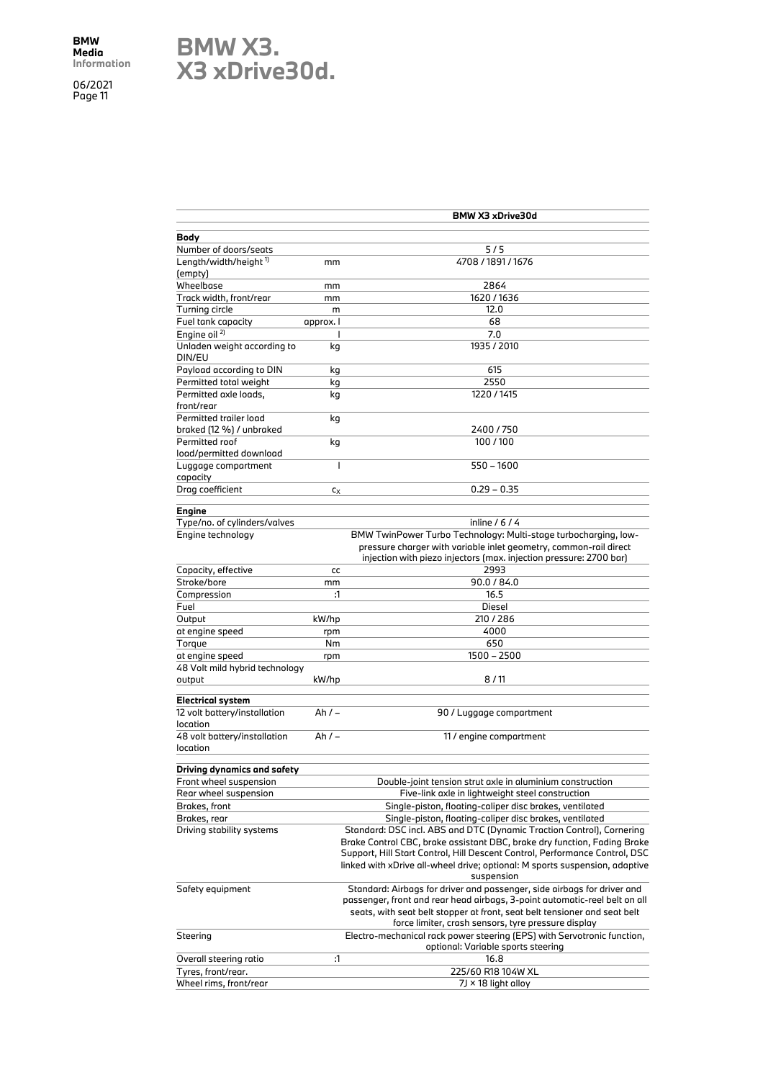## **BMW X3. X3 xDrive30d.**

|                                          |                | BMW X3 xDrive30d                                                            |
|------------------------------------------|----------------|-----------------------------------------------------------------------------|
| Body                                     |                |                                                                             |
| Number of doors/seats                    |                | 5/5                                                                         |
| Length/width/height <sup>1)</sup>        | mm             | 4708 / 1891 / 1676                                                          |
| (empty)                                  |                |                                                                             |
| Wheelbase                                | mm             | 2864                                                                        |
| Track width, front/rear                  | mm             | 1620 / 1636                                                                 |
| Turning circle                           | m              | 12.0                                                                        |
| Fuel tank capacity                       | approx. I      | 68                                                                          |
| Engine oil <sup>2)</sup>                 |                | 7.0                                                                         |
| Unladen weight according to              | kg             | 1935 / 2010                                                                 |
| DIN/EU                                   |                |                                                                             |
| Payload according to DIN                 | kg             | 615                                                                         |
| Permitted total weight                   | kg             | 2550                                                                        |
| Permitted axle loads,                    | kg             | 1220 / 1415                                                                 |
| front/rear                               |                |                                                                             |
| Permitted trailer load                   | kg             |                                                                             |
| braked (12 %) / unbraked                 |                | 2400 / 750                                                                  |
| Permitted roof                           | kg             | 100/100                                                                     |
| load/permitted download                  |                |                                                                             |
| Luggage compartment                      | $\overline{1}$ | $550 - 1600$                                                                |
| capacity                                 |                |                                                                             |
| Drag coefficient                         | $c_X$          | $0.29 - 0.35$                                                               |
|                                          |                |                                                                             |
| Engine                                   |                |                                                                             |
| Type/no. of cylinders/valves             |                | inline $/6/4$                                                               |
| Engine technology                        |                | BMW TwinPower Turbo Technology: Multi-stage turbocharging, low-             |
|                                          |                | pressure charger with variable inlet geometry, common-rail direct           |
|                                          |                | injection with piezo injectors (max. injection pressure: 2700 bar)          |
| Capacity, effective                      | cc             | 2993                                                                        |
| Stroke/bore                              | mm             | 90.0 / 84.0                                                                 |
| Compression                              | :1             | 16.5                                                                        |
| Fuel                                     |                | Diesel                                                                      |
| Output                                   | kW/hp          | 210/286                                                                     |
| at engine speed                          | rpm            | 4000                                                                        |
| Torque                                   | Nm             | 650                                                                         |
| at engine speed                          | rpm            | 1500 - 2500                                                                 |
| 48 Volt mild hybrid technology           |                |                                                                             |
| output                                   | kW/hp          | 8/11                                                                        |
|                                          |                |                                                                             |
| <b>Electrical system</b>                 |                |                                                                             |
| 12 volt battery/installation<br>location | Ah $/ -$       | 90 / Luggage compartment                                                    |
|                                          | Ah $/ -$       |                                                                             |
| 48 volt battery/installation<br>location |                | 11 / engine compartment                                                     |
|                                          |                |                                                                             |
| Driving dynamics and safety              |                |                                                                             |
| Front wheel suspension                   |                | Double-joint tension strut axle in aluminium construction                   |
| Rear wheel suspension                    |                | Five-link axle in lightweight steel construction                            |
| Brakes, front                            |                | Single-piston, floating-caliper disc brakes, ventilated                     |
| Brakes, rear                             |                | Single-piston, floating-caliper disc brakes, ventilated                     |
| Driving stability systems                |                | Standard: DSC incl. ABS and DTC (Dynamic Traction Control), Cornering       |
|                                          |                | Brake Control CBC, brake assistant DBC, brake dry function, Fading Brake    |
|                                          |                | Support, Hill Start Control, Hill Descent Control, Performance Control, DSC |
|                                          |                | linked with xDrive all-wheel drive; optional: M sports suspension, adaptive |
|                                          |                | suspension                                                                  |
| Safety equipment                         |                | Standard: Airbags for driver and passenger, side airbags for driver and     |
|                                          |                | passenger, front and rear head airbags, 3-point automatic-reel belt on all  |
|                                          |                | seats, with seat belt stopper at front, seat belt tensioner and seat belt   |
|                                          |                | force limiter, crash sensors, tyre pressure display                         |
| Steering                                 |                | Electro-mechanical rack power steering (EPS) with Servotronic function,     |
|                                          |                | optional: Variable sports steering                                          |
| Overall steering ratio                   | :1             | 16.8                                                                        |
| Tyres, front/rear.                       |                | 225/60 R18 104W XL                                                          |
| Wheel rims, front/rear                   |                | 7J × 18 light alloy                                                         |
|                                          |                |                                                                             |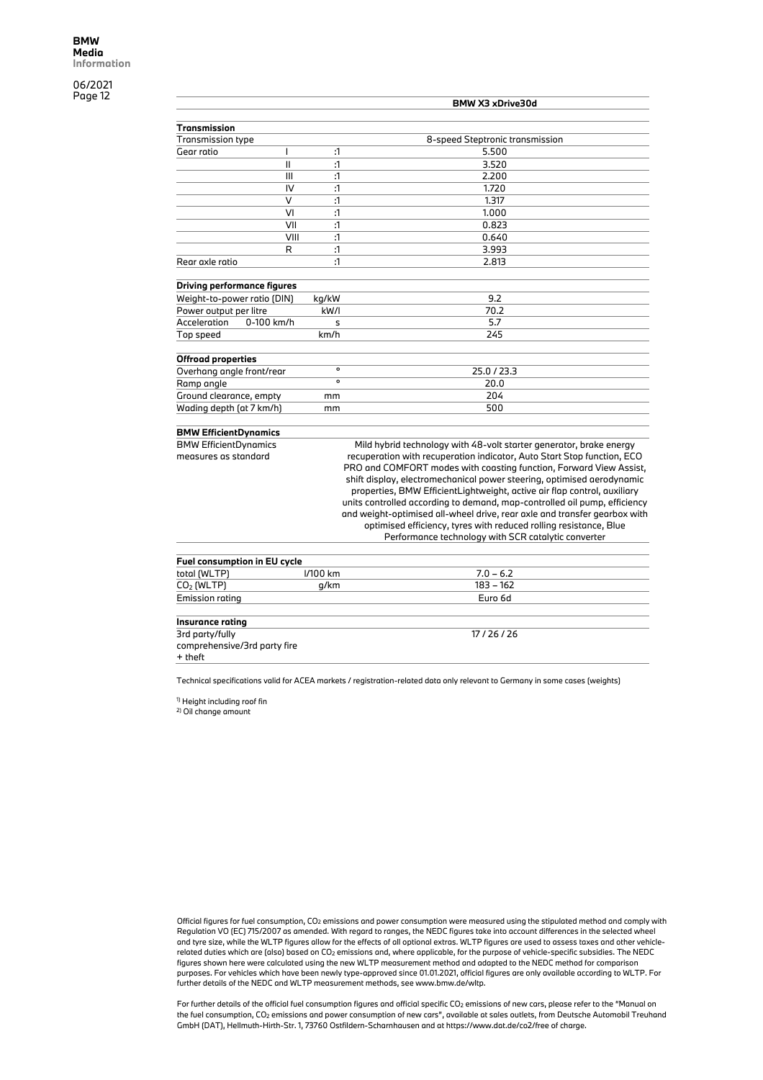|                                    |            |              | BMW X3 xDrive30d                |
|------------------------------------|------------|--------------|---------------------------------|
| Transmission                       |            |              |                                 |
| Transmission type                  |            |              | 8-speed Steptronic transmission |
| Gear ratio                         |            | :1           | 5.500                           |
|                                    | Ш          | :1           | 3.520                           |
|                                    | Ш          | :1           | 2.200                           |
|                                    | IV         | :1           | 1.720                           |
|                                    | $\vee$     | $\mathbf{1}$ | 1.317                           |
|                                    | VI         | $\mathbf{1}$ | 1.000                           |
|                                    | VII        | :1           | 0.823                           |
|                                    | VIII       | :1           | 0.640                           |
|                                    | R          | $\mathbf{1}$ | 3.993                           |
| Rear axle ratio                    |            | :1           | 2.813                           |
| <b>Driving performance figures</b> |            |              |                                 |
| Weight-to-power ratio (DIN)        |            | kg/kW        | 9.2                             |
| Power output per litre             |            | kW/I         | 70.2                            |
| Acceleration                       | 0-100 km/h | s            | 5.7                             |
| Top speed                          |            | km/h         | 245                             |
| <b>Offroad properties</b>          |            |              |                                 |
| Overhang angle front/rear          |            | $\circ$      | 25.0 / 23.3                     |
| Ramp angle                         |            | $\circ$      | 20.0                            |
| Ground clearance, empty            |            | mm           | 204                             |
| Wading depth (at 7 km/h)           |            | mm           | 500                             |
|                                    |            |              |                                 |

#### **BMW EfficientDynamics**

BMW EfficientDynamics measures as standard

Mild hybrid technology with 48-volt starter generator, brake energy recuperation with recuperation indicator, Auto Start Stop function, ECO PRO and COMFORT modes with coasting function, Forward View Assist, shift display, electromechanical power steering, optimised aerodynamic properties, BMW EfficientLightweight, active air flap control, auxiliary units controlled according to demand, map-controlled oil pump, efficiency and weight-optimised all-wheel drive, rear axle and transfer gearbox with optimised efficiency, tyres with reduced rolling resistance, Blue Performance technology with SCR catalytic converter

| Fuel consumption in EU cycle |          |             |  |
|------------------------------|----------|-------------|--|
| total (WLTP)                 | I/100 km | $7.0 - 6.2$ |  |
| CO2 (WLTP)                   | g/km     | $183 - 162$ |  |
| Emission rating              |          | Euro 6d     |  |
|                              |          |             |  |
| Insurance rating             |          |             |  |
| 3rd party/fully              |          | 17/26/26    |  |
| comprehensive/3rd party fire |          |             |  |
| + theft                      |          |             |  |

Technical specifications valid for ACEA markets / registration-related data only relevant to Germany in some cases (weights)

1) Height including roof fin

2) Oil change amount

Official figures for fuel consumption, CO2 emissions and power consumption were measured using the stipulated method and comply with Regulation VO (EC) 715/2007 as amended. With regard to ranges, the NEDC figures take into account differences in the selected wheel and tyre size, while the WLTP figures allow for the effects of all optional extras. WLTP figures are used to assess taxes and other vehiclerelated duties which are (also) based on CO2 emissions and, where applicable, for the purpose of vehicle-specific subsidies. The NEDC figures shown here were calculated using the new WLTP measurement method and adapted to the NEDC method for comparison purposes. For vehicles which have been newly type-approved since 01.01.2021, official figures are only available according to WLTP. For further details of the NEDC and WLTP measurement methods, see www.bmw.de/wltp.

For further details of the official fuel consumption figures and official specific CO<sub>2</sub> emissions of new cars, please refer to the "Manual on the fuel consumption, CO2 emissions and power consumption of new cars", available at sales outlets, from Deutsche Automobil Treuhand GmbH (DAT), Hellmuth-Hirth-Str. 1, 73760 Ostfildern-Scharnhausen and at https://www.dat.de/co2/free of charge.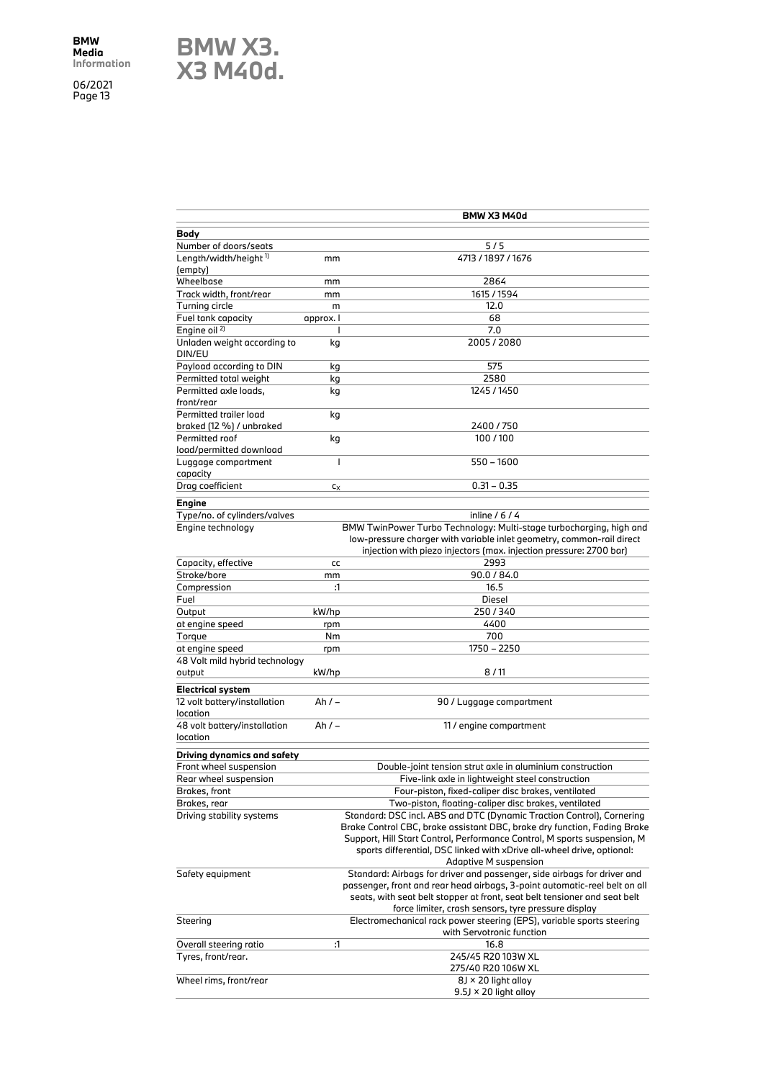**BMW X3. X3 M40d.**

|                                          |           | BMW X3 M40d                                                                             |
|------------------------------------------|-----------|-----------------------------------------------------------------------------------------|
| Body                                     |           |                                                                                         |
| Number of doors/seats                    |           | 5/5                                                                                     |
| Length/width/height <sup>1)</sup>        | mm        | 4713 / 1897 / 1676                                                                      |
| (empty)                                  |           |                                                                                         |
| Wheelbase                                | mm        | 2864                                                                                    |
| Track width, front/rear                  | mm        | 1615 / 1594                                                                             |
| Turning circle                           | m         | 12.0                                                                                    |
| Fuel tank capacity                       | approx. I | 68                                                                                      |
| Engine oil <sup>2)</sup>                 | I         | 7.0                                                                                     |
| Unladen weight according to              | kg        | 2005/2080                                                                               |
| DIN/EU                                   |           |                                                                                         |
| Payload according to DIN                 | kg        | 575                                                                                     |
| Permitted total weight                   | kg        | 2580                                                                                    |
| Permitted axle loads,                    | kg        | 1245 / 1450                                                                             |
| front/rear                               |           |                                                                                         |
| Permitted trailer load                   | kg        |                                                                                         |
| braked (12 %) / unbraked                 |           | 2400 / 750                                                                              |
| Permitted roof                           | kg        | 100/100                                                                                 |
| load/permitted download                  |           |                                                                                         |
| Luggage compartment                      | I         | $550 - 1600$                                                                            |
| capacity                                 |           |                                                                                         |
| Drag coefficient                         | $c_X$     | $0.31 - 0.35$                                                                           |
|                                          |           |                                                                                         |
| Engine                                   |           |                                                                                         |
| Type/no. of cylinders/valves             |           | inline $/ 6 / 4$<br>BMW TwinPower Turbo Technology: Multi-stage turbocharging, high and |
| Engine technology                        |           |                                                                                         |
|                                          |           | low-pressure charger with variable inlet geometry, common-rail direct                   |
|                                          |           | injection with piezo injectors (max. injection pressure: 2700 bar)<br>2993              |
| Capacity, effective                      | cc        | 90.0 / 84.0                                                                             |
| Stroke/bore                              | mm        |                                                                                         |
| Compression                              | :1        | 16.5                                                                                    |
| Fuel                                     |           | Diesel                                                                                  |
| Output                                   | kW/hp     | 250/340                                                                                 |
| at engine speed                          | rpm       | 4400                                                                                    |
| Torque                                   | Nm        | 700                                                                                     |
| at engine speed                          | rpm       | 1750 - 2250                                                                             |
| 48 Volt mild hybrid technology<br>output | kW/hp     | 8/11                                                                                    |
|                                          |           |                                                                                         |
| <b>Electrical system</b>                 |           |                                                                                         |
| 12 volt battery/installation             | Ah / –    | 90 / Luggage compartment                                                                |
| location                                 |           |                                                                                         |
| 48 volt battery/installation             | Ah / –    | 11 / engine compartment                                                                 |
| location                                 |           |                                                                                         |
| Driving dynamics and safety              |           |                                                                                         |
| Front wheel suspension                   |           | Double-joint tension strut axle in aluminium construction                               |
| Rear wheel suspension                    |           | Five-link axle in lightweight steel construction                                        |
| Brakes, front                            |           | Four-piston, fixed-caliper disc brakes, ventilated                                      |
| Brakes, rear                             |           | Two-piston, floating-caliper disc brakes, ventilated                                    |
| Driving stability systems                |           | Standard: DSC incl. ABS and DTC (Dynamic Traction Control), Cornering                   |
|                                          |           | Brake Control CBC, brake assistant DBC, brake dry function, Fading Brake                |
|                                          |           | Support, Hill Start Control, Performance Control, M sports suspension, M                |
|                                          |           | sports differential, DSC linked with xDrive all-wheel drive, optional:                  |
|                                          |           | Adaptive M suspension                                                                   |
| Safety equipment                         |           | Standard: Airbags for driver and passenger, side airbags for driver and                 |
|                                          |           | passenger, front and rear head airbags, 3-point automatic-reel belt on all              |
|                                          |           | seats, with seat belt stopper at front, seat belt tensioner and seat belt               |
|                                          |           | force limiter, crash sensors, tyre pressure display                                     |
| Steering                                 |           | Electromechanical rack power steering (EPS), variable sports steering                   |
|                                          |           | with Servotronic function                                                               |
| Overall steering ratio                   | :1        | 16.8                                                                                    |
| Tyres, front/rear.                       |           | 245/45 R20 103W XL                                                                      |
|                                          |           | 275/40 R20 106W XL                                                                      |
| Wheel rims, front/rear                   |           | $8$ J × 20 light alloy                                                                  |
|                                          |           | $9.5$ J × 20 light alloy                                                                |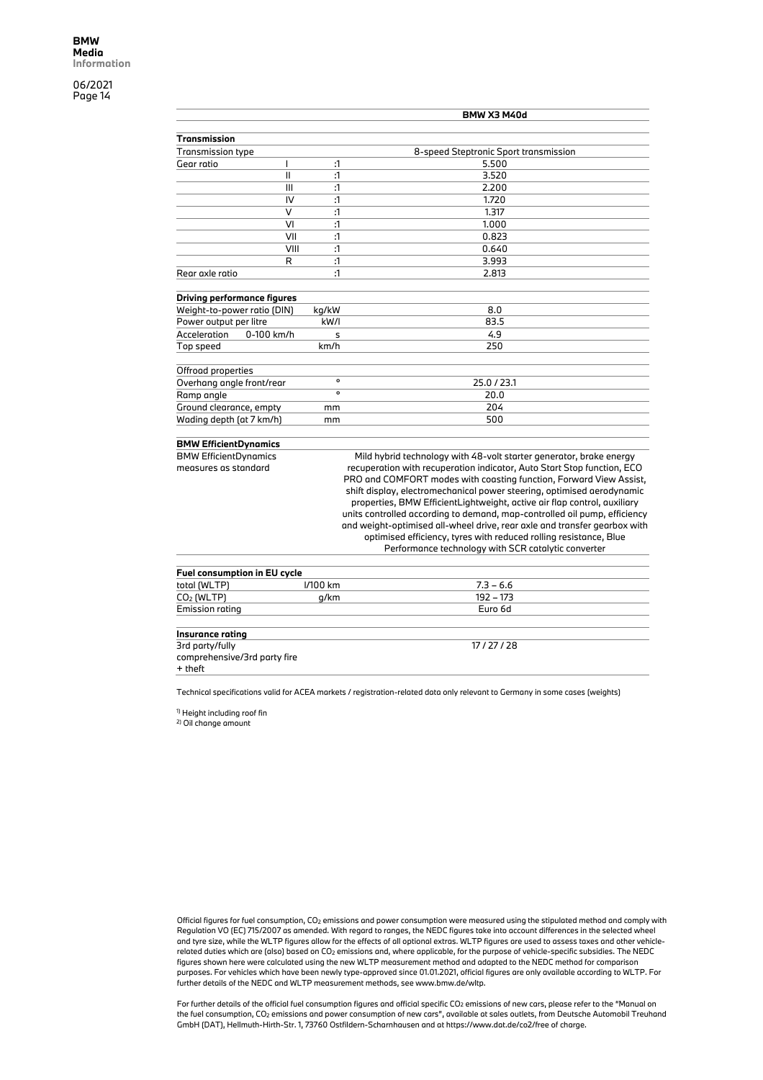|                                    |              | <b>BMW X3 M40d</b>                                                        |
|------------------------------------|--------------|---------------------------------------------------------------------------|
| <b>Transmission</b>                |              |                                                                           |
| <b>Transmission type</b>           |              | 8-speed Steptronic Sport transmission                                     |
| Gear ratio<br>I                    | :1           | 5.500                                                                     |
| $\mathbf{I}$                       | :1           | 3.520                                                                     |
| III                                | :1           | 2.200                                                                     |
| IV                                 | :1           | 1.720                                                                     |
| $\vee$                             | $\mathbf{1}$ | 1.317                                                                     |
| VI                                 | :1           | 1.000                                                                     |
| VII                                | :1           | 0.823                                                                     |
| VIII                               | :1           | 0.640                                                                     |
| R                                  | :1           | 3.993                                                                     |
| Rear axle ratio                    | :1           | 2.813                                                                     |
|                                    |              |                                                                           |
| <b>Driving performance figures</b> |              |                                                                           |
| Weight-to-power ratio (DIN)        | kg/kW        | 8.0                                                                       |
| Power output per litre             | kW/I         | 83.5                                                                      |
| Acceleration<br>0-100 km/h         | s            | 4.9                                                                       |
| Top speed                          | km/h         | 250                                                                       |
|                                    |              |                                                                           |
| Offroad properties                 |              |                                                                           |
| Overhang angle front/rear          | $\mathbf{o}$ | 25.0 / 23.1                                                               |
| Ramp angle                         | $\circ$      | 20.0                                                                      |
| Ground clearance, empty            | mm           | 204                                                                       |
| Wading depth (at 7 km/h)           | mm           | 500                                                                       |
|                                    |              |                                                                           |
| <b>BMW EfficientDynamics</b>       |              |                                                                           |
| <b>BMW EfficientDynamics</b>       |              | Mild hybrid technology with 48-volt starter generator, brake energy       |
| measures as standard               |              | recuperation with recuperation indicator, Auto Start Stop function, ECO   |
|                                    |              | PRO and COMFORT modes with coasting function, Forward View Assist,        |
|                                    |              | shift display, electromechanical power steering, optimised aerodynamic    |
|                                    |              | properties, BMW EfficientLightweight, active air flap control, auxiliary  |
|                                    |              | units controlled according to demand, map-controlled oil pump, efficiency |
|                                    |              | and weight-optimised all-wheel drive, rear axle and transfer gearbox with |
|                                    |              | optimised efficiency, tyres with reduced rolling resistance, Blue         |
|                                    |              | Performance technology with SCR catalytic converter                       |

| Fuel consumption in EU cycle |            |             |  |  |
|------------------------------|------------|-------------|--|--|
| total (WLTP)                 | $1/100$ km | $7.3 - 6.6$ |  |  |
| $CO2$ (WLTP)                 | a/km       | 192 – 173   |  |  |
| <b>Emission rating</b>       |            | Euro 6d     |  |  |

#### **Insurance rating**

3rd party/fully comprehensive/3rd party fire + theft

17 / 27 / 28

Technical specifications valid for ACEA markets / registration-related data only relevant to Germany in some cases (weights)

1) Height including roof fin

2) Oil change amount

Official figures for fuel consumption, CO2 emissions and power consumption were measured using the stipulated method and comply with Regulation VO (EC) 715/2007 as amended. With regard to ranges, the NEDC figures take into account differences in the selected wheel and tyre size, while the WLTP figures allow for the effects of all optional extras. WLTP figures are used to assess taxes and other vehiclerelated duties which are (also) based on CO2 emissions and, where applicable, for the purpose of vehicle-specific subsidies. The NEDC figures shown here were calculated using the new WLTP measurement method and adapted to the NEDC method for comparison purposes. For vehicles which have been newly type-approved since 01.01.2021, official figures are only available according to WLTP. For further details of the NEDC and WLTP measurement methods, see www.bmw.de/wltp.

For further details of the official fuel consumption figures and official specific  $CO_2$  emissions of new cars, please refer to the "Manual on the fuel consumption, CO2 emissions and power consumption of new cars", available at sales outlets, from Deutsche Automobil Treuhand GmbH (DAT), Hellmuth-Hirth-Str. 1, 73760 Ostfildern-Scharnhausen and at https://www.dat.de/co2/free of charge.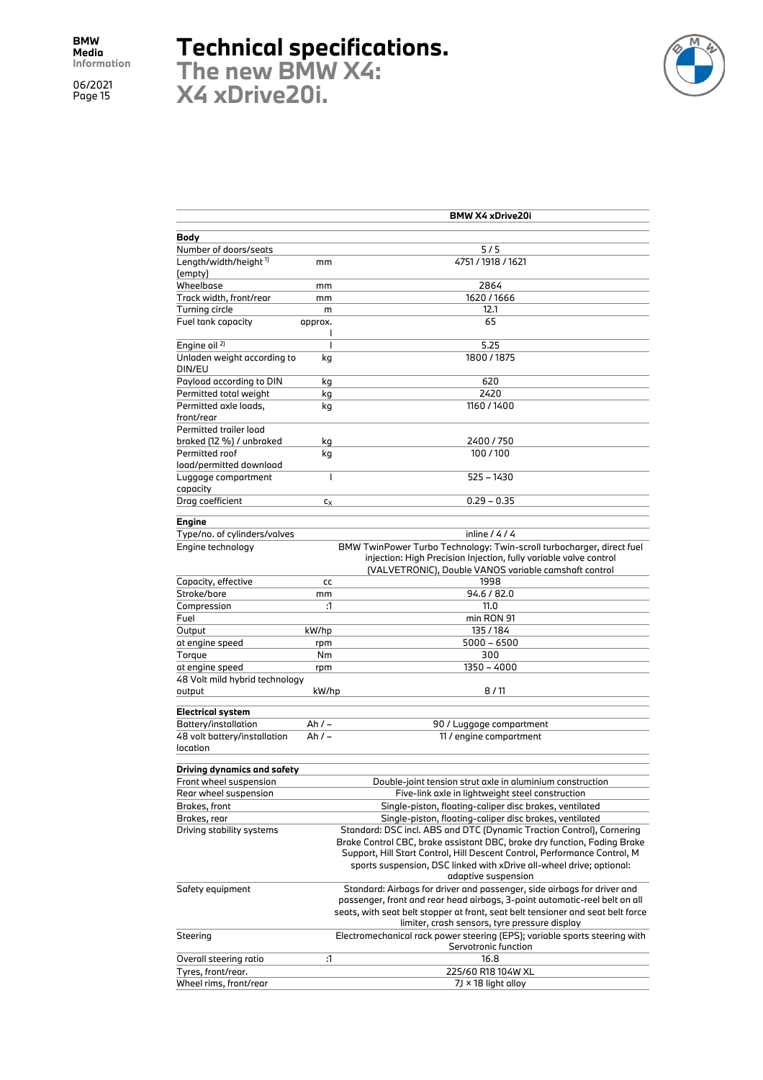## **Technical specifications.**

**The new BMW X4: X4 xDrive20i.**



|                                |                | <b>BMW X4 xDrive20i</b>                                                                                                                           |
|--------------------------------|----------------|---------------------------------------------------------------------------------------------------------------------------------------------------|
|                                |                |                                                                                                                                                   |
| Body<br>Number of doors/seats  |                | $5/5$                                                                                                                                             |
| Length/width/height 1)         | mm             | 4751/1918/1621                                                                                                                                    |
| (empty)                        |                |                                                                                                                                                   |
| Wheelbase                      | mm             | 2864                                                                                                                                              |
| Track width, front/rear        | mm             | 1620/1666                                                                                                                                         |
| Turning circle                 | m              | 12.1                                                                                                                                              |
| Fuel tank capacity             | approx.        | 65                                                                                                                                                |
|                                | J.             |                                                                                                                                                   |
| Engine oil <sup>2)</sup>       | $\overline{1}$ | 5.25                                                                                                                                              |
| Unladen weight according to    | kg             | 1800 / 1875                                                                                                                                       |
| DIN/EU                         |                |                                                                                                                                                   |
| Payload according to DIN       | kg             | 620                                                                                                                                               |
| Permitted total weight         | kg             | 2420                                                                                                                                              |
| Permitted axle loads,          | kg             | 1160/1400                                                                                                                                         |
| front/rear                     |                |                                                                                                                                                   |
| Permitted trailer load         |                |                                                                                                                                                   |
| braked (12 %) / unbraked       | kg             | 2400 / 750                                                                                                                                        |
| Permitted roof                 | kg             | 100/100                                                                                                                                           |
| load/permitted download        |                |                                                                                                                                                   |
| Luggage compartment            | $\overline{1}$ | 525 - 1430                                                                                                                                        |
| capacity                       |                | $0.29 - 0.35$                                                                                                                                     |
| Drag coefficient               | Cх             |                                                                                                                                                   |
| <b>Engine</b>                  |                |                                                                                                                                                   |
| Type/no. of cylinders/valves   |                | inline $/4/4$                                                                                                                                     |
| Engine technology              |                | BMW TwinPower Turbo Technology: Twin-scroll turbocharger, direct fuel                                                                             |
|                                |                | injection: High Precision Injection, fully variable valve control                                                                                 |
|                                |                | (VALVETRONIC), Double VANOS variable camshaft control                                                                                             |
| Capacity, effective            | cc             | 1998                                                                                                                                              |
| Stroke/bore                    | mm             | 94.6 / 82.0                                                                                                                                       |
| Compression                    | :1             | 11.0                                                                                                                                              |
| Fuel                           |                | min RON 91                                                                                                                                        |
| Output                         | kW/hp          | 135/184                                                                                                                                           |
| at engine speed                | rpm            | $5000 - 6500$                                                                                                                                     |
| Torque                         | Nm             | 300                                                                                                                                               |
| at engine speed                | rpm            | 1350 - 4000                                                                                                                                       |
| 48 Volt mild hybrid technology |                |                                                                                                                                                   |
| output                         | kW/hp          | 8/11                                                                                                                                              |
| <b>Electrical system</b>       |                |                                                                                                                                                   |
| Battery/installation           | Ah $/ -$       | 90 / Luggage compartment                                                                                                                          |
| 48 volt battery/installation   | Ah $/ -$       | 11 / engine compartment                                                                                                                           |
| location                       |                |                                                                                                                                                   |
|                                |                |                                                                                                                                                   |
| Driving dynamics and safety    |                |                                                                                                                                                   |
| Front wheel suspension         |                | Double-joint tension strut axle in aluminium construction                                                                                         |
| Rear wheel suspension          |                | Five-link axle in lightweight steel construction                                                                                                  |
| Brakes, front                  |                | Single-piston, floating-caliper disc brakes, ventilated                                                                                           |
| Brakes, rear                   |                | Single-piston, floating-caliper disc brakes, ventilated                                                                                           |
| Driving stability systems      |                | Standard: DSC incl. ABS and DTC (Dynamic Traction Control), Cornering<br>Brake Control CBC, brake assistant DBC, brake dry function, Fading Brake |
|                                |                | Support, Hill Start Control, Hill Descent Control, Performance Control, M                                                                         |
|                                |                | sports suspension, DSC linked with xDrive all-wheel drive; optional:                                                                              |
|                                |                | adaptive suspension                                                                                                                               |
| Safety equipment               |                | Standard: Airbags for driver and passenger, side airbags for driver and                                                                           |
|                                |                | passenger, front and rear head airbags, 3-point automatic-reel belt on all                                                                        |
|                                |                | seats, with seat belt stopper at front, seat belt tensioner and seat belt force                                                                   |
|                                |                | limiter, crash sensors, tyre pressure display                                                                                                     |
| Steering                       |                | Electromechanical rack power steering (EPS); variable sports steering with                                                                        |
|                                |                | Servotronic function                                                                                                                              |
| Overall steering ratio         | :1             | 16.8                                                                                                                                              |
| Tyres, front/rear.             |                | 225/60 R18 104W XL                                                                                                                                |
| Wheel rims, front/rear         |                | 7J × 18 light alloy                                                                                                                               |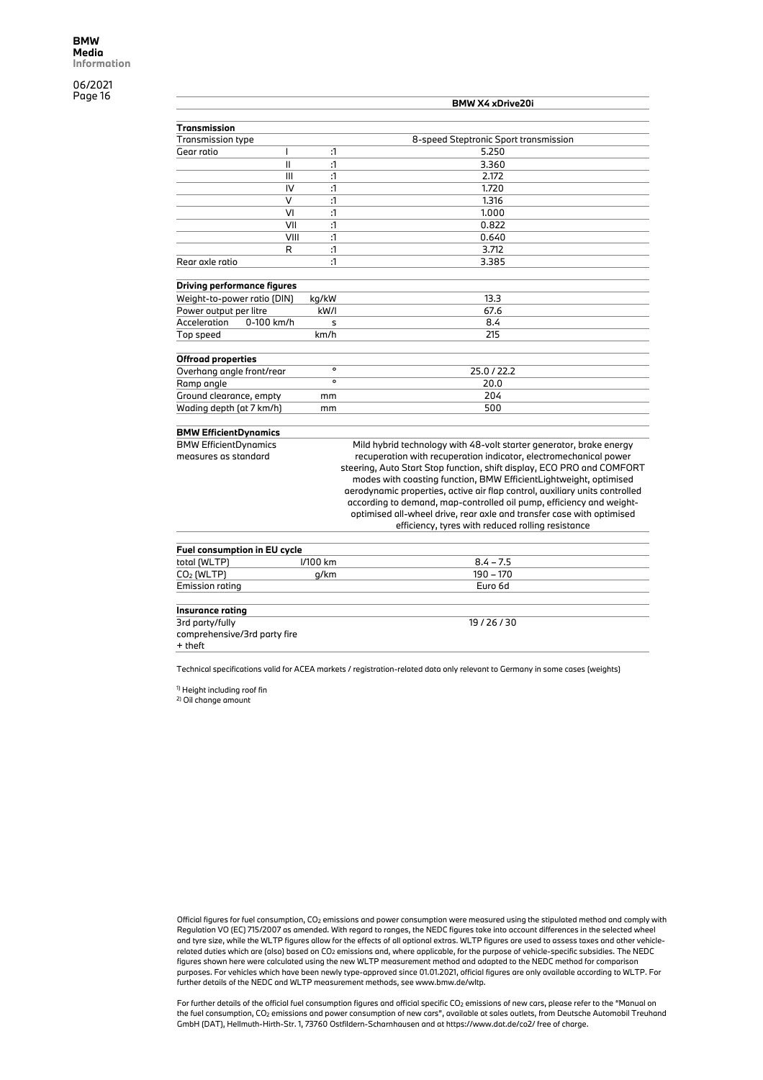|                                    |         | <b>BMW X4 xDrive20i</b>                                                     |
|------------------------------------|---------|-----------------------------------------------------------------------------|
| Transmission                       |         |                                                                             |
| <b>Transmission type</b>           |         | 8-speed Steptronic Sport transmission                                       |
| Gear ratio<br>ı                    | :1      | 5.250                                                                       |
| Ш                                  | :1      | 3.360                                                                       |
| III                                | :1      | 2.172                                                                       |
| IV                                 | :1      | 1.720                                                                       |
| $\vee$                             | :1      | 1.316                                                                       |
| VI                                 | :1      | 1.000                                                                       |
| VII                                |         |                                                                             |
|                                    | :1      | 0.822                                                                       |
| VIII                               | :1      | 0.640                                                                       |
| R                                  | :1      | 3.712                                                                       |
| Rear axle ratio                    | :1      | 3.385                                                                       |
| <b>Driving performance figures</b> |         |                                                                             |
| Weight-to-power ratio (DIN)        | kg/kW   | 13.3                                                                        |
| Power output per litre             | kW/I    | 67.6                                                                        |
| Acceleration<br>0-100 km/h         | s       | 8.4                                                                         |
| Top speed                          | km/h    | 215                                                                         |
|                                    |         |                                                                             |
| <b>Offroad properties</b>          | $\circ$ |                                                                             |
| Overhang angle front/rear          | $\circ$ | 25.0 / 22.2                                                                 |
| Ramp angle                         |         | 20.0                                                                        |
| Ground clearance, empty            | mm      | 204                                                                         |
| Wading depth (at 7 km/h)           | mm      | 500                                                                         |
| <b>BMW EfficientDynamics</b>       |         |                                                                             |
| <b>BMW EfficientDynamics</b>       |         | Mild hybrid technology with 48-volt starter generator, brake energy         |
| measures as standard               |         | recuperation with recuperation indicator, electromechanical power           |
|                                    |         | steering, Auto Start Stop function, shift display, ECO PRO and COMFORT      |
|                                    |         | modes with coasting function, BMW EfficientLightweight, optimised           |
|                                    |         | aerodynamic properties, active air flap control, auxiliary units controlled |

Technical specifications valid for ACEA markets / registration-related data only relevant to Germany in some cases (weights)

total (WLTP) l/100 km 8.4 – 7.5  $\frac{\text{CO}_2 \text{ (WLTP)}}{\text{Emission rating}}$  g/km 190 – 170<br>Emission rating Euro 6d

according to demand, map-controlled oil pump, efficiency and weightoptimised all-wheel drive, rear axle and transfer case with optimised efficiency, tyres with reduced rolling resistance

19 / 26 / 30

<sup>1)</sup> Height including roof fin

comprehensive/3rd party fire

**Fuel consumption in EU cycle**<br>total (WLTP) [/100 km

2) Oil change amount

Emission rating **Insurance rating** 3rd party/fully

+ theft

Official figures for fuel consumption, CO2 emissions and power consumption were measured using the stipulated method and comply with Regulation VO (EC) 715/2007 as amended. With regard to ranges, the NEDC figures take into account differences in the selected wheel and tyre size, while the WLTP figures allow for the effects of all optional extras. WLTP figures are used to assess taxes and other vehiclerelated duties which are (also) based on CO2 emissions and, where applicable, for the purpose of vehicle-specific subsidies. The NEDC figures shown here were calculated using the new WLTP measurement method and adapted to the NEDC method for comparison purposes. For vehicles which have been newly type-approved since 01.01.2021, official figures are only available according to WLTP. For further details of the NEDC and WLTP measurement methods, see www.bmw.de/wltp.

For further details of the official fuel consumption figures and official specific CO2 emissions of new cars, please refer to the "Manual on the fuel consumption, CO2 emissions and power consumption of new cars", available at sales outlets, from Deutsche Automobil Treuhand GmbH (DAT), Hellmuth-Hirth-Str. 1, 73760 Ostfildern-Scharnhausen and at https://www.dat.de/co2/ free of charge.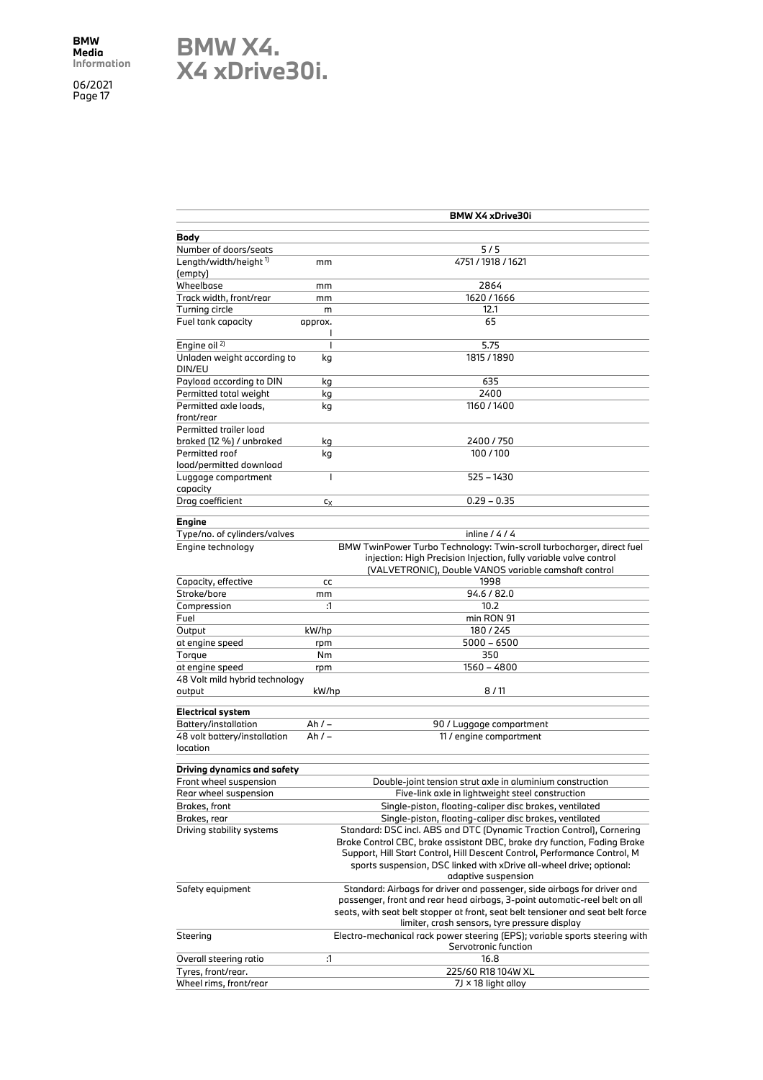### **BMW X4. X4 xDrive30i.**

|                                   |                | <b>BMW X4 xDrive30i</b>                                                                                                                    |
|-----------------------------------|----------------|--------------------------------------------------------------------------------------------------------------------------------------------|
| Body                              |                |                                                                                                                                            |
| Number of doors/seats             |                | $5/5$                                                                                                                                      |
| Length/width/height <sup>1)</sup> | mm             | 4751/1918/1621                                                                                                                             |
| (empty)                           |                |                                                                                                                                            |
| Wheelbase                         | mm             | 2864                                                                                                                                       |
| Track width, front/rear           | mm             | 1620 / 1666                                                                                                                                |
| Turning circle                    | m              | 12.1                                                                                                                                       |
| Fuel tank capacity                | approx.        | 65                                                                                                                                         |
|                                   | J              |                                                                                                                                            |
| Engine oil <sup>2)</sup>          | $\overline{1}$ | 5.75                                                                                                                                       |
| Unladen weight according to       | kg             | 1815 / 1890                                                                                                                                |
| DIN/EU                            |                |                                                                                                                                            |
| Payload according to DIN          | kg             | 635                                                                                                                                        |
| Permitted total weight            | kg             | 2400                                                                                                                                       |
| Permitted axle loads,             | kg             | 1160 / 1400                                                                                                                                |
| front/rear                        |                |                                                                                                                                            |
| Permitted trailer load            |                |                                                                                                                                            |
| braked (12 %) / unbraked          | kg             | 2400 / 750                                                                                                                                 |
| Permitted roof                    | kg             | 100/100                                                                                                                                    |
| load/permitted download           |                |                                                                                                                                            |
| Luggage compartment               | $\overline{1}$ | 525 - 1430                                                                                                                                 |
| capacity                          |                |                                                                                                                                            |
| Drag coefficient                  | $c_X$          | $0.29 - 0.35$                                                                                                                              |
|                                   |                |                                                                                                                                            |
| Engine                            |                | inline $/4/4$                                                                                                                              |
| Type/no. of cylinders/valves      |                |                                                                                                                                            |
| Engine technology                 |                | BMW TwinPower Turbo Technology: Twin-scroll turbocharger, direct fuel<br>injection: High Precision Injection, fully variable valve control |
|                                   |                | (VALVETRONIC), Double VANOS variable camshaft control                                                                                      |
| Capacity, effective               | cc             | 1998                                                                                                                                       |
| Stroke/bore                       |                | 94.6 / 82.0                                                                                                                                |
| Compression                       | mm<br>:1       | 10.2                                                                                                                                       |
| Fuel                              |                | min RON 91                                                                                                                                 |
| Output                            | kW/hp          | 180/245                                                                                                                                    |
| at engine speed                   |                | $5000 - 6500$                                                                                                                              |
| Torque                            | rpm<br>Nm      | 350                                                                                                                                        |
| at engine speed                   |                | 1560 - 4800                                                                                                                                |
| 48 Volt mild hybrid technology    | rpm            |                                                                                                                                            |
| output                            | kW/hp          | 8/11                                                                                                                                       |
|                                   |                |                                                                                                                                            |
| <b>Electrical system</b>          |                |                                                                                                                                            |
| Battery/installation              | Ah / –         | 90 / Luggage compartment                                                                                                                   |
| 48 volt battery/installation      | Ah / –         | 11 / engine compartment                                                                                                                    |
| location                          |                |                                                                                                                                            |
|                                   |                |                                                                                                                                            |
| Driving dynamics and safety       |                |                                                                                                                                            |
| Front wheel suspension            |                | Double-joint tension strut axle in aluminium construction                                                                                  |
| Rear wheel suspension             |                | Five-link axle in lightweight steel construction                                                                                           |
| Brakes, front                     |                | Single-piston, floating-caliper disc brakes, ventilated                                                                                    |
| Brakes, rear                      |                | Single-piston, floating-caliper disc brakes, ventilated                                                                                    |
| Driving stability systems         |                | Standard: DSC incl. ABS and DTC (Dynamic Traction Control), Cornering                                                                      |
|                                   |                | Brake Control CBC, brake assistant DBC, brake dry function, Fading Brake                                                                   |
|                                   |                | Support, Hill Start Control, Hill Descent Control, Performance Control, M                                                                  |
|                                   |                | sports suspension, DSC linked with xDrive all-wheel drive; optional:                                                                       |
| Safety equipment                  |                | adaptive suspension<br>Standard: Airbags for driver and passenger, side airbags for driver and                                             |
|                                   |                | passenger, front and rear head airbags, 3-point automatic-reel belt on all                                                                 |
|                                   |                | seats, with seat belt stopper at front, seat belt tensioner and seat belt force                                                            |
|                                   |                | limiter, crash sensors, tyre pressure display                                                                                              |
| Steering                          |                | Electro-mechanical rack power steering (EPS); variable sports steering with                                                                |
|                                   |                | Servotronic function                                                                                                                       |
| Overall steering ratio            | :1             | 16.8                                                                                                                                       |
| Tyres, front/rear.                |                | 225/60 R18 104W XL                                                                                                                         |
| Wheel rims, front/rear            |                | 7J × 18 light alloy                                                                                                                        |
|                                   |                |                                                                                                                                            |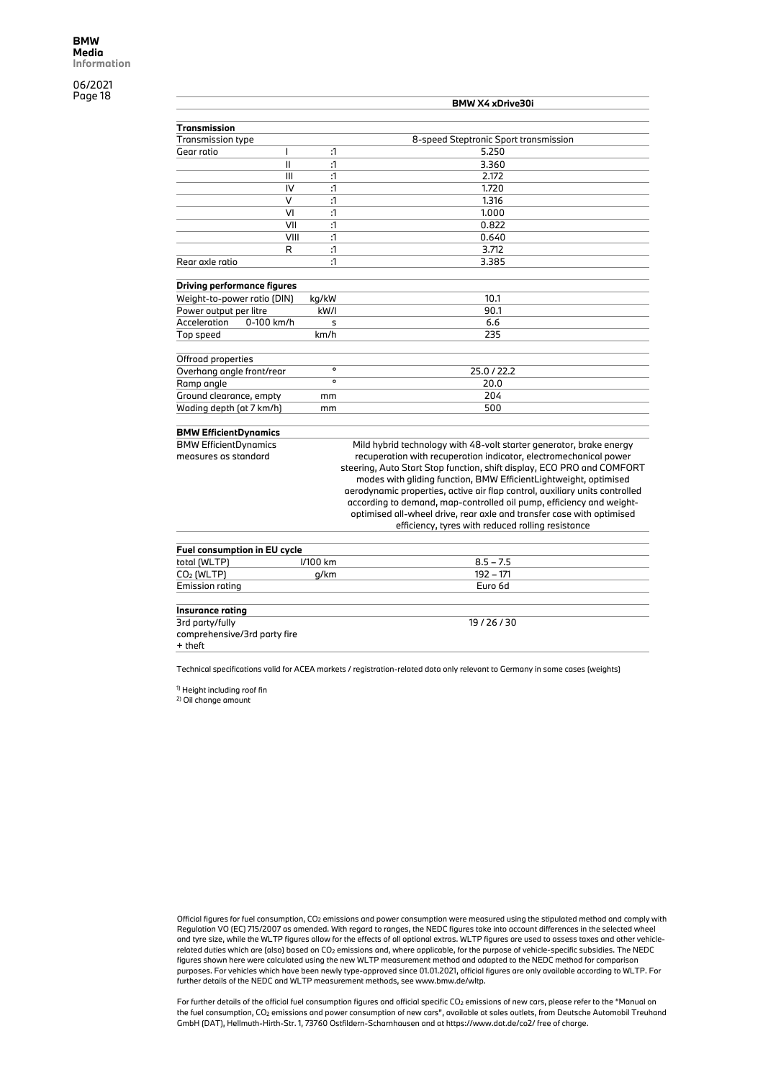|                                    |              | <b>BMW X4 xDrive30i</b>                                                |
|------------------------------------|--------------|------------------------------------------------------------------------|
| Transmission                       |              |                                                                        |
| <b>Transmission type</b>           |              | 8-speed Steptronic Sport transmission                                  |
| Gear ratio                         | :1           | 5.250                                                                  |
| $\mathbf{I}$                       | $\mathbf{1}$ | 3.360                                                                  |
| III                                | :1           | 2.172                                                                  |
| IV                                 | :1           | 1.720                                                                  |
| $\vee$                             | :1           | 1.316                                                                  |
| VI                                 | :1           | 1.000                                                                  |
|                                    |              |                                                                        |
| VII                                | :1           | 0.822                                                                  |
| VIII                               | :1           | 0.640                                                                  |
| R                                  | :1           | 3.712                                                                  |
| Rear axle ratio                    | :1           | 3.385                                                                  |
| <b>Driving performance figures</b> |              |                                                                        |
| Weight-to-power ratio (DIN)        | kg/kW        | 10.1                                                                   |
| Power output per litre             | kW/I         | 90.1                                                                   |
| Acceleration<br>0-100 km/h         | s            | 6.6                                                                    |
| Top speed                          | km/h         | 235                                                                    |
|                                    |              |                                                                        |
| Offroad properties                 |              |                                                                        |
| Overhang angle front/rear          | $\circ$      | 25.0 / 22.2                                                            |
| Ramp angle                         | $\circ$      | 20.0                                                                   |
| Ground clearance, empty            | mm           | 204                                                                    |
| Wading depth (at 7 km/h)           | mm           | 500                                                                    |
|                                    |              |                                                                        |
| <b>BMW EfficientDynamics</b>       |              |                                                                        |
| <b>BMW EfficientDynamics</b>       |              | Mild hybrid technology with 48-volt starter generator, brake energy    |
| measures as standard               |              | recuperation with recuperation indicator, electromechanical power      |
|                                    |              | steering, Auto Start Stop function, shift display, ECO PRO and COMFORT |
|                                    |              | modes with gliding function, BMW EfficientLightweight, optimised       |

aerodynamic properties, active air flap control, auxiliary units controlled according to demand, map-controlled oil pump, efficiency and weightoptimised all-wheel drive, rear axle and transfer case with optimised efficiency, tyres with reduced rolling resistance

19 / 26 / 30

Technical specifications valid for ACEA markets / registration-related data only relevant to Germany in some cases (weights)

total (WLTP) l/100 km 8.5 – 7.5  $\frac{\text{CO}_2 \text{ (WLTP)}}{\text{Emission rating}}$  g/km 192 – 171<br> $\frac{\text{Emission rating}}{\text{Euro 6d}}$ 

<sup>1)</sup> Height including roof fin

**Fuel consumption in EU cycle**

comprehensive/3rd party fire

2) Oil change amount

Emission rating **Insurance rating** 3rd party/fully

+ theft

Official figures for fuel consumption, CO2 emissions and power consumption were measured using the stipulated method and comply with Regulation VO (EC) 715/2007 as amended. With regard to ranges, the NEDC figures take into account differences in the selected wheel and tyre size, while the WLTP figures allow for the effects of all optional extras. WLTP figures are used to assess taxes and other vehiclerelated duties which are (also) based on CO2 emissions and, where applicable, for the purpose of vehicle-specific subsidies. The NEDC figures shown here were calculated using the new WLTP measurement method and adapted to the NEDC method for comparison purposes. For vehicles which have been newly type-approved since 01.01.2021, official figures are only available according to WLTP. For further details of the NEDC and WLTP measurement methods, see www.bmw.de/wltp.

For further details of the official fuel consumption figures and official specific CO<sub>2</sub> emissions of new cars, please refer to the "Manual on the fuel consumption, CO2 emissions and power consumption of new cars", available at sales outlets, from Deutsche Automobil Treuhand GmbH (DAT), Hellmuth-Hirth-Str. 1, 73760 Ostfildern-Scharnhausen and at https://www.dat.de/co2/ free of charge.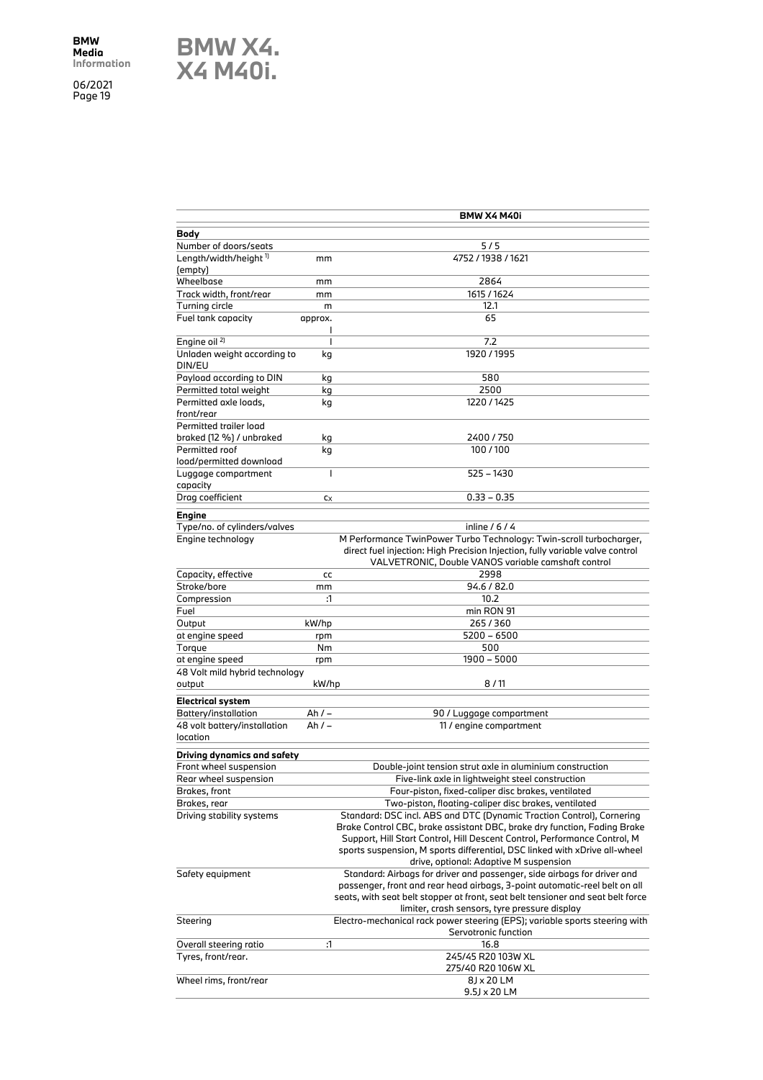**BMW X4. X4 M40i.**

| BMW X4 M40i<br>Body<br>Number of doors/seats<br>$5/5$<br>4752 / 1938 / 1621<br>Length/width/height <sup>1)</sup><br>mm<br>(empty)<br>Wheelbase<br>2864<br>mm<br>1615 / 1624<br>Track width, front/rear<br>mm<br>12.1<br>Turning circle<br>m |  |
|---------------------------------------------------------------------------------------------------------------------------------------------------------------------------------------------------------------------------------------------|--|
|                                                                                                                                                                                                                                             |  |
|                                                                                                                                                                                                                                             |  |
|                                                                                                                                                                                                                                             |  |
|                                                                                                                                                                                                                                             |  |
|                                                                                                                                                                                                                                             |  |
|                                                                                                                                                                                                                                             |  |
|                                                                                                                                                                                                                                             |  |
| Fuel tank capacity<br>65<br>approx.                                                                                                                                                                                                         |  |
| I                                                                                                                                                                                                                                           |  |
| Engine oil <sup>2)</sup><br>$\overline{1}$<br>7.2                                                                                                                                                                                           |  |
| Unladen weight according to<br>1920 / 1995<br>kg                                                                                                                                                                                            |  |
| DIN/EU                                                                                                                                                                                                                                      |  |
| Payload according to DIN<br>580<br>kg                                                                                                                                                                                                       |  |
| Permitted total weight<br>kg<br>2500                                                                                                                                                                                                        |  |
| Permitted axle loads,<br>1220 / 1425<br>kg                                                                                                                                                                                                  |  |
| front/rear                                                                                                                                                                                                                                  |  |
| Permitted trailer load                                                                                                                                                                                                                      |  |
| braked (12 %) / unbraked<br>2400/750<br>kg                                                                                                                                                                                                  |  |
| Permitted roof<br>100/100<br>kg                                                                                                                                                                                                             |  |
| load/permitted download<br>$\overline{1}$<br>525 - 1430                                                                                                                                                                                     |  |
| Luggage compartment<br>capacity                                                                                                                                                                                                             |  |
| Drag coefficient<br>$0.33 - 0.35$<br>$c_X$                                                                                                                                                                                                  |  |
|                                                                                                                                                                                                                                             |  |
| Engine                                                                                                                                                                                                                                      |  |
| Type/no. of cylinders/valves<br>inline $/6/4$                                                                                                                                                                                               |  |
|                                                                                                                                                                                                                                             |  |
| M Performance TwinPower Turbo Technology: Twin-scroll turbocharger,<br>Engine technology                                                                                                                                                    |  |
| direct fuel injection: High Precision Injection, fully variable valve control                                                                                                                                                               |  |
| VALVETRONIC, Double VANOS variable camshaft control                                                                                                                                                                                         |  |
| Capacity, effective<br>2998<br>cc                                                                                                                                                                                                           |  |
| Stroke/bore<br>94.6 / 82.0<br>mm                                                                                                                                                                                                            |  |
| Compression<br>:1<br>10.2                                                                                                                                                                                                                   |  |
| min RON 91<br>Fuel                                                                                                                                                                                                                          |  |
| Output<br>kW/hp<br>265/360                                                                                                                                                                                                                  |  |
| $5200 - 6500$<br>at engine speed<br>rpm                                                                                                                                                                                                     |  |
| Torque<br>Nm<br>500                                                                                                                                                                                                                         |  |
| at engine speed<br>1900 - 5000<br>rpm                                                                                                                                                                                                       |  |
| 48 Volt mild hybrid technology<br>8/11<br>kW/hp<br>output                                                                                                                                                                                   |  |
|                                                                                                                                                                                                                                             |  |
| <b>Electrical system</b>                                                                                                                                                                                                                    |  |
| Battery/installation<br>$Ah/-$<br>90 / Luggage compartment                                                                                                                                                                                  |  |
| 48 volt battery/installation<br>Ah $/ -$<br>11 / engine compartment                                                                                                                                                                         |  |
| location                                                                                                                                                                                                                                    |  |
| Driving dynamics and safety                                                                                                                                                                                                                 |  |
| Front wheel suspension<br>Double-joint tension strut axle in aluminium construction                                                                                                                                                         |  |
| Rear wheel suspension<br>Five-link axle in lightweight steel construction                                                                                                                                                                   |  |
| Four-piston, fixed-caliper disc brakes, ventilated<br>Brakes, front                                                                                                                                                                         |  |
| Two-piston, floating-caliper disc brakes, ventilated<br>Brakes, rear                                                                                                                                                                        |  |
| Driving stability systems<br>Standard: DSC incl. ABS and DTC (Dynamic Traction Control), Cornering                                                                                                                                          |  |
| Brake Control CBC, brake assistant DBC, brake dry function, Fading Brake                                                                                                                                                                    |  |
| Support, Hill Start Control, Hill Descent Control, Performance Control, M                                                                                                                                                                   |  |
| sports suspension, M sports differential, DSC linked with xDrive all-wheel                                                                                                                                                                  |  |
| drive, optional: Adaptive M suspension<br>Safety equipment                                                                                                                                                                                  |  |
| Standard: Airbags for driver and passenger, side airbags for driver and<br>passenger, front and rear head airbags, 3-point automatic-reel belt on all                                                                                       |  |
| seats, with seat belt stopper at front, seat belt tensioner and seat belt force                                                                                                                                                             |  |
| limiter, crash sensors, tyre pressure display                                                                                                                                                                                               |  |
| Electro-mechanical rack power steering (EPS); variable sports steering with<br>Steering                                                                                                                                                     |  |
| Servotronic function                                                                                                                                                                                                                        |  |
| :1<br>16.8<br>Overall steering ratio                                                                                                                                                                                                        |  |
| Tyres, front/rear.<br>245/45 R20 103W XL                                                                                                                                                                                                    |  |
| 275/40 R20 106W XL<br>8J x 20 LM<br>Wheel rims, front/rear                                                                                                                                                                                  |  |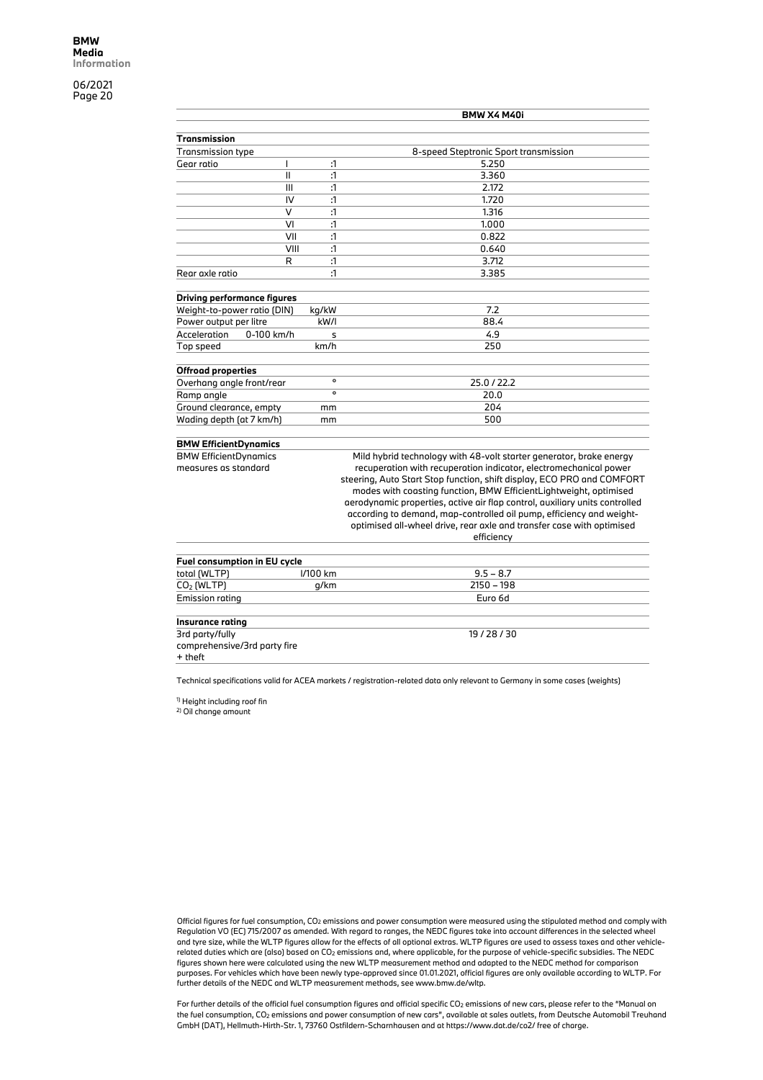|                                    |                        | BMW X4 M40i                                                                 |
|------------------------------------|------------------------|-----------------------------------------------------------------------------|
| Transmission                       |                        |                                                                             |
| <b>Transmission type</b>           |                        | 8-speed Steptronic Sport transmission                                       |
| Gear ratio<br>I                    | :1                     | 5.250                                                                       |
|                                    | $\mathbf{II}$<br>:1    | 3.360                                                                       |
|                                    | $\mathbf{1}$<br>III    | 2.172                                                                       |
|                                    | IV<br>$\mathbf{1}$     | 1.720                                                                       |
|                                    | $\vee$<br>$\mathbf{1}$ | 1.316                                                                       |
|                                    | $\mathbf{1}$<br>VI     | 1.000                                                                       |
|                                    | VII<br>$\mathbf{1}$    | 0.822                                                                       |
|                                    | VIII<br>:1             | 0.640                                                                       |
|                                    | $\mathbf{1}$<br>R      | 3.712                                                                       |
| Rear axle ratio                    | :1                     | 3.385                                                                       |
| <b>Driving performance figures</b> |                        |                                                                             |
| Weight-to-power ratio (DIN)        | kg/kW                  | 7.2                                                                         |
| Power output per litre             | kW/I                   | 88.4                                                                        |
| Acceleration<br>0-100 km/h         | s                      | 4.9                                                                         |
| Top speed                          | km/h                   | 250                                                                         |
| <b>Offroad properties</b>          |                        |                                                                             |
| Overhang angle front/rear          | $\mathbf{o}$           | 25.0 / 22.2                                                                 |
| Ramp angle                         | $\circ$                | 20.0                                                                        |
| Ground clearance, empty            | mm                     | 204                                                                         |
| Wading depth (at 7 km/h)           | mm                     | 500                                                                         |
| <b>BMW EfficientDynamics</b>       |                        |                                                                             |
| <b>BMW EfficientDynamics</b>       |                        | Mild hybrid technology with 48-volt starter generator, brake energy         |
| measures as standard               |                        | recuperation with recuperation indicator, electromechanical power           |
|                                    |                        | steering, Auto Start Stop function, shift display, ECO PRO and COMFORT      |
|                                    |                        | modes with coasting function, BMW EfficientLightweight, optimised           |
|                                    |                        | aerodynamic properties, active air flap control, auxiliary units controlled |
|                                    |                        | according to demand, map-controlled oil pump, efficiency and weight-        |
|                                    |                        | optimised all-wheel drive, rear axle and transfer case with optimised       |
|                                    |                        | efficiency                                                                  |
|                                    |                        |                                                                             |
| Fuel consumption in EU cycle       |                        |                                                                             |
| total (WLTP)                       | I/100 km               | $9.5 - 8.7$                                                                 |
| CO <sub>2</sub> (WI TP)            | n/km                   | 2150 - 198                                                                  |

| $9.5 - 8.7$<br>I/100 km<br>total (WLTP)<br>$2150 - 198$<br>$CO2$ (WLTP)<br>q/km<br>Emission rating<br>Euro 6d<br>Insurance rating<br>3rd party/fully<br>19/28/30<br>comprehensive/3rd party fire<br>+ theft |  |  |
|-------------------------------------------------------------------------------------------------------------------------------------------------------------------------------------------------------------|--|--|
|                                                                                                                                                                                                             |  |  |
|                                                                                                                                                                                                             |  |  |
|                                                                                                                                                                                                             |  |  |
|                                                                                                                                                                                                             |  |  |
|                                                                                                                                                                                                             |  |  |
|                                                                                                                                                                                                             |  |  |
|                                                                                                                                                                                                             |  |  |

Technical specifications valid for ACEA markets / registration-related data only relevant to Germany in some cases (weights)

1) Height including roof fin

2) Oil change amount

Official figures for fuel consumption, CO2 emissions and power consumption were measured using the stipulated method and comply with Regulation VO (EC) 715/2007 as amended. With regard to ranges, the NEDC figures take into account differences in the selected wheel and tyre size, while the WLTP figures allow for the effects of all optional extras. WLTP figures are used to assess taxes and other vehiclerelated duties which are (also) based on CO2 emissions and, where applicable, for the purpose of vehicle-specific subsidies. The NEDC figures shown here were calculated using the new WLTP measurement method and adapted to the NEDC method for comparison purposes. For vehicles which have been newly type-approved since 01.01.2021, official figures are only available according to WLTP. For<br>further details of the NEDC and WLTP measurement methods, see www.bmw.de/wltp.

For further details of the official fuel consumption figures and official specific CO<sub>2</sub> emissions of new cars, please refer to the "Manual on the fuel consumption, CO2 emissions and power consumption of new cars", available at sales outlets, from Deutsche Automobil Treuhand GmbH (DAT), Hellmuth-Hirth-Str. 1, 73760 Ostfildern-Scharnhausen and at https://www.dat.de/co2/ free of charge.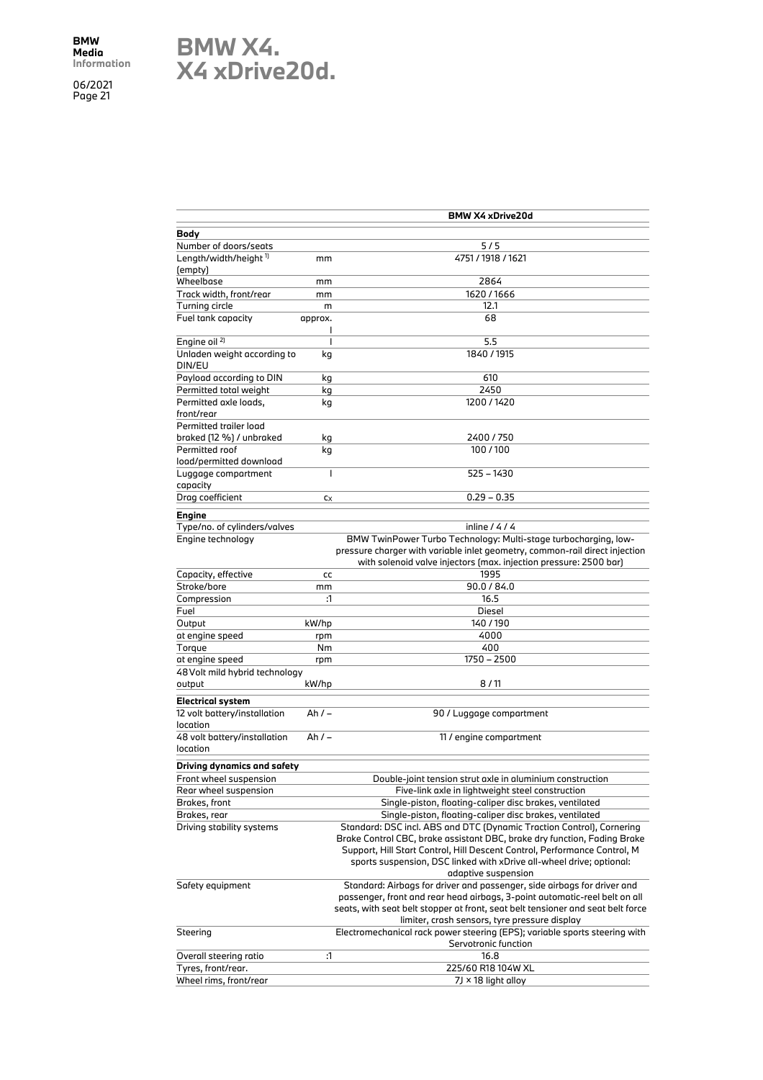

|                                          |           | <b>BMW X4 xDrive20d</b>                                                         |
|------------------------------------------|-----------|---------------------------------------------------------------------------------|
| Body                                     |           |                                                                                 |
| Number of doors/seats                    |           | 5/5                                                                             |
| Length/width/height <sup>1)</sup>        | mm        | 4751 / 1918 / 1621                                                              |
| (empty)                                  |           |                                                                                 |
| Wheelbase                                | mm        | 2864                                                                            |
| Track width, front/rear                  | mm        | 1620 / 1666                                                                     |
| Turning circle                           | m         | 12.1                                                                            |
| Fuel tank capacity                       | approx.   | 68                                                                              |
| Engine oil <sup>2)</sup>                 | ı<br>T    | 5.5                                                                             |
| Unladen weight according to              | kg        | 1840 / 1915                                                                     |
| DIN/EU                                   |           |                                                                                 |
| Payload according to DIN                 | kg        | 610                                                                             |
| Permitted total weight                   | kg        | 2450                                                                            |
| Permitted axle loads,<br>front/rear      | kg        | 1200/1420                                                                       |
| Permitted trailer load                   |           |                                                                                 |
| braked (12 %) / unbraked                 | kg        | 2400 / 750                                                                      |
| Permitted roof                           | kg        | 100/100                                                                         |
| load/permitted download                  |           |                                                                                 |
| Luggage compartment<br>capacity          | T         | 525 - 1430                                                                      |
| Drag coefficient                         | $c_X$     | $0.29 - 0.35$                                                                   |
| Engine                                   |           |                                                                                 |
| Type/no. of cylinders/valves             |           | inline $/$ 4 $/$ 4                                                              |
| Engine technology                        |           | BMW TwinPower Turbo Technology: Multi-stage turbocharging, low-                 |
|                                          |           | pressure charger with variable inlet geometry, common-rail direct injection     |
|                                          |           | with solenoid valve injectors (max. injection pressure: 2500 bar)               |
| Capacity, effective                      | cc        | 1995                                                                            |
| Stroke/bore                              | mm        | 90.0 / 84.0                                                                     |
| Compression                              | :1        | 16.5                                                                            |
| Fuel                                     |           | Diesel                                                                          |
| Output                                   | kW/hp     | 140/190                                                                         |
| at engine speed                          |           | 4000                                                                            |
| Torque                                   | rpm<br>Nm | 400                                                                             |
| at engine speed                          |           | 1750 - 2500                                                                     |
|                                          | rpm       |                                                                                 |
| 48 Volt mild hybrid technology           |           | 8/11                                                                            |
| output                                   | kW/hp     |                                                                                 |
| <b>Electrical system</b>                 |           |                                                                                 |
| 12 volt battery/installation<br>location | Ah / –    | 90 / Luggage compartment                                                        |
| 48 volt battery/installation             | Ah / –    | 11 / engine compartment                                                         |
| location                                 |           |                                                                                 |
| Driving dynamics and safety              |           |                                                                                 |
| Front wheel suspension                   |           | Double-joint tension strut axle in aluminium construction                       |
| Rear wheel suspension                    |           | Five-link axle in lightweight steel construction                                |
| Brakes, front                            |           | Single-piston, floating-caliper disc brakes, ventilated                         |
| Brakes, rear                             |           | Single-piston, floating-caliper disc brakes, ventilated                         |
| Driving stability systems                |           | Standard: DSC incl. ABS and DTC (Dynamic Traction Control), Cornering           |
|                                          |           | Brake Control CBC, brake assistant DBC, brake dry function, Fading Brake        |
|                                          |           | Support, Hill Start Control, Hill Descent Control, Performance Control, M       |
|                                          |           | sports suspension, DSC linked with xDrive all-wheel drive; optional:            |
|                                          |           | adaptive suspension                                                             |
| Safety equipment                         |           | Standard: Airbags for driver and passenger, side airbags for driver and         |
|                                          |           | passenger, front and rear head airbags, 3-point automatic-reel belt on all      |
|                                          |           | seats, with seat belt stopper at front, seat belt tensioner and seat belt force |
|                                          |           | limiter, crash sensors, tyre pressure display                                   |
| Steering                                 |           | Electromechanical rack power steering (EPS); variable sports steering with      |
|                                          |           | Servotronic function                                                            |
| Overall steering ratio                   | :1        | 16.8                                                                            |
| Tyres, front/rear.                       |           | 225/60 R18 104W XL                                                              |
| Wheel rims, front/rear                   |           | $7J \times 18$ light alloy                                                      |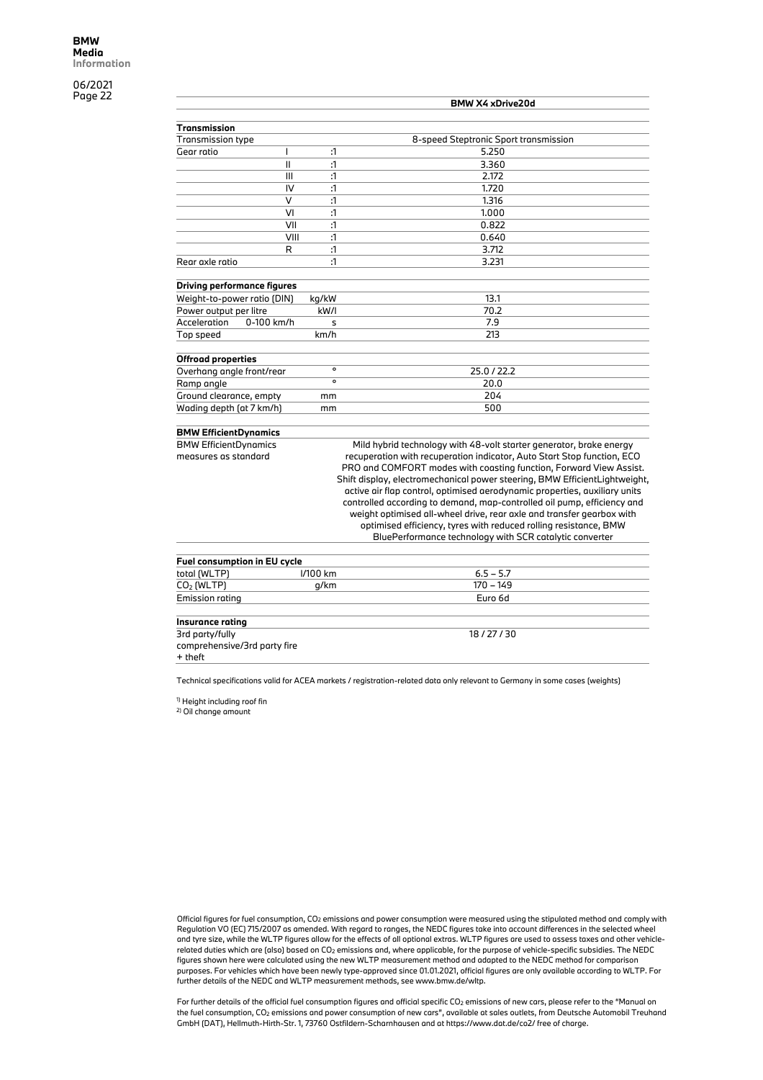|                                    |                     | <b>BMW X4 xDrive20d</b>               |
|------------------------------------|---------------------|---------------------------------------|
| Transmission                       |                     |                                       |
| <b>Transmission type</b>           |                     | 8-speed Steptronic Sport transmission |
| Gear ratio                         | $\mathbf{1}$        | 5.250                                 |
|                                    | $\cdot$ 1<br>Ш      | 3.360                                 |
|                                    | III<br>$\cdot$ 1    | 2.172                                 |
|                                    | IV<br>$\cdot$ 1     | 1.720                                 |
|                                    | v<br>$\mathbf{1}$   | 1.316                                 |
|                                    | VI<br>$\cdot$ 1     | 1.000                                 |
|                                    | VII<br>$\mathbf{1}$ | 0.822                                 |
|                                    | $\cdot$ 1<br>VIII   | 0.640                                 |
|                                    | $\mathbf{1}$<br>R   | 3.712                                 |
| Rear axle ratio                    | $\mathbf{A}$        | 3.231                                 |
| <b>Driving performance figures</b> |                     |                                       |
| Weight-to-power ratio (DIN)        | kg/kW               | 13.1                                  |
| Power output per litre             | kW/I                | 70.2                                  |
| Acceleration<br>0-100 km/h         | s                   | 7.9                                   |
| Top speed                          | km/h                | 213                                   |
| <b>Offroad properties</b>          |                     |                                       |
| Overhang angle front/rear          | $\circ$             | 25.0/22.2                             |
| Ramp angle                         | $\Omega$            | 20.0                                  |
| Ground clearance, empty            | mm                  | 204                                   |
| Wading depth (at 7 km/h)           | mm                  | 500                                   |

#### **BMW EfficientDynamics**

BMW EfficientDynamics

measures as standard

Mild hybrid technology with 48-volt starter generator, brake energy recuperation with recuperation indicator, Auto Start Stop function, ECO PRO and COMFORT modes with coasting function, Forward View Assist. Shift display, electromechanical power steering, BMW EfficientLightweight, active air flap control, optimised aerodynamic properties, auxiliary units controlled according to demand, map-controlled oil pump, efficiency and weight optimised all-wheel drive, rear axle and transfer gearbox with optimised efficiency, tyres with reduced rolling resistance, BMW BluePerformance technology with SCR catalytic converter

| <b>Fuel consumption in EU cycle</b>                        |          |             |  |  |  |  |
|------------------------------------------------------------|----------|-------------|--|--|--|--|
| total (WLTP)                                               | I/100 km | $6.5 - 5.7$ |  |  |  |  |
| $CO2$ (WLTP)                                               | g/km     | 170 - 149   |  |  |  |  |
| <b>Emission rating</b>                                     |          | Euro 6d     |  |  |  |  |
| Insurance rating                                           |          |             |  |  |  |  |
| 3rd party/fully<br>comprehensive/3rd party fire<br>+ theft |          | 18/27/30    |  |  |  |  |

Technical specifications valid for ACEA markets / registration-related data only relevant to Germany in some cases (weights)

1) Height including roof fin

2) Oil change amount

Official figures for fuel consumption, CO2 emissions and power consumption were measured using the stipulated method and comply with Regulation VO (EC) 715/2007 as amended. With regard to ranges, the NEDC figures take into account differences in the selected wheel and tyre size, while the WLTP figures allow for the effects of all optional extras. WLTP figures are used to assess taxes and other vehiclerelated duties which are (also) based on CO2 emissions and, where applicable, for the purpose of vehicle-specific subsidies. The NEDC figures shown here were calculated using the new WLTP measurement method and adapted to the NEDC method for comparison purposes. For vehicles which have been newly type-approved since 01.01.2021, official figures are only available according to WLTP. For further details of the NEDC and WLTP measurement methods, see www.bmw.de/wltp.

For further details of the official fuel consumption figures and official specific CO<sub>2</sub> emissions of new cars, please refer to the "Manual on the fuel consumption, CO2 emissions and power consumption of new cars", available at sales outlets, from Deutsche Automobil Treuhand GmbH (DAT), Hellmuth-Hirth-Str. 1, 73760 Ostfildern-Scharnhausen and at https://www.dat.de/co2/ free of charge.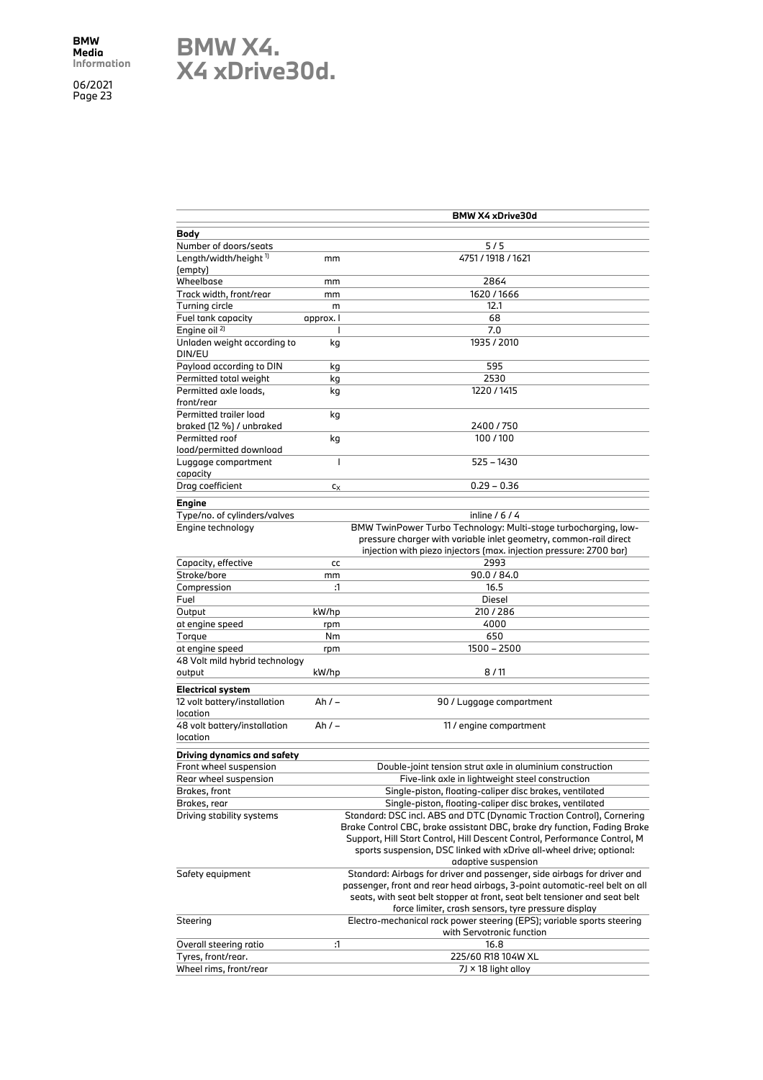### **BMW X4. X4 xDrive30d.**

|                                                    |                | BMW X4 xDrive30d                                                           |
|----------------------------------------------------|----------------|----------------------------------------------------------------------------|
| Body                                               |                |                                                                            |
| Number of doors/seats                              |                | 5/5                                                                        |
| Length/width/height <sup>1)</sup>                  | mm             | 4751 / 1918 / 1621                                                         |
| (empty)                                            |                |                                                                            |
| Wheelbase                                          | mm             | 2864                                                                       |
| Track width, front/rear                            | mm             | 1620/1666                                                                  |
| Turning circle                                     | m              | 12.1                                                                       |
| Fuel tank capacity                                 | approx. I      | 68                                                                         |
| Engine oil <sup>2)</sup>                           | I              | 7.0                                                                        |
| Unladen weight according to<br>DIN/EU              | kg             | 1935 / 2010                                                                |
| Payload according to DIN                           | kg             | 595                                                                        |
| Permitted total weight                             | kg             | 2530                                                                       |
| Permitted axle loads,<br>front/rear                | kg             | 1220 / 1415                                                                |
| Permitted trailer load<br>braked (12 %) / unbraked | kg             | 2400/750                                                                   |
| Permitted roof                                     | kg             | 100/100                                                                    |
| load/permitted download<br>Luggage compartment     | $\overline{1}$ | 525 - 1430                                                                 |
| capacity                                           |                |                                                                            |
| Drag coefficient                                   | $c_X$          | $0.29 - 0.36$                                                              |
| Engine                                             |                |                                                                            |
| Type/no. of cylinders/valves                       |                | inline $/ 6 / 4$                                                           |
| Engine technology                                  |                | BMW TwinPower Turbo Technology: Multi-stage turbocharging, low-            |
|                                                    |                | pressure charger with variable inlet geometry, common-rail direct          |
|                                                    |                | injection with piezo injectors (max. injection pressure: 2700 bar)         |
| Capacity, effective                                | cc             | 2993                                                                       |
| Stroke/bore                                        | mm             | 90.0 / 84.0                                                                |
| Compression                                        | :1             | 16.5                                                                       |
| Fuel                                               |                | Diesel                                                                     |
| Output                                             | kW/hp          | 210/286                                                                    |
| at engine speed                                    | rpm            | 4000                                                                       |
| Torque                                             | Nm             | 650                                                                        |
| at engine speed                                    | rpm            | 1500 - 2500                                                                |
| 48 Volt mild hybrid technology                     |                |                                                                            |
| output                                             | kW/hp          | 8/11                                                                       |
| <b>Electrical system</b>                           |                |                                                                            |
| 12 volt battery/installation<br>location           | Ah $/ -$       | 90 / Luggage compartment                                                   |
| 48 volt battery/installation                       | Ah $/ -$       | 11 / engine compartment                                                    |
| location                                           |                |                                                                            |
| Driving dynamics and safety                        |                |                                                                            |
| Front wheel suspension                             |                | Double-joint tension strut axle in aluminium construction                  |
| Rear wheel suspension                              |                | Five-link axle in lightweight steel construction                           |
| Brakes, front                                      |                | Single-piston, floating-caliper disc brakes, ventilated                    |
| Brakes, rear                                       |                | Single-piston, floating-caliper disc brakes, ventilated                    |
| Driving stability systems                          |                | Standard: DSC incl. ABS and DTC (Dynamic Traction Control), Cornering      |
|                                                    |                | Brake Control CBC, brake assistant DBC, brake dry function, Fading Brake   |
|                                                    |                | Support, Hill Start Control, Hill Descent Control, Performance Control, M  |
|                                                    |                | sports suspension, DSC linked with xDrive all-wheel drive; optional:       |
|                                                    |                | adaptive suspension                                                        |
| Safety equipment                                   |                | Standard: Airbags for driver and passenger, side airbags for driver and    |
|                                                    |                | passenger, front and rear head airbags, 3-point automatic-reel belt on all |
|                                                    |                | seats, with seat belt stopper at front, seat belt tensioner and seat belt  |
|                                                    |                | force limiter, crash sensors, tyre pressure display                        |
| Steering                                           |                | Electro-mechanical rack power steering (EPS); variable sports steering     |
|                                                    |                | with Servotronic function                                                  |
| Overall steering ratio                             | :1             | 16.8                                                                       |
| Tyres, front/rear.                                 |                | 225/60 R18 104W XL                                                         |
| Wheel rims, front/rear                             |                | 7J × 18 light alloy                                                        |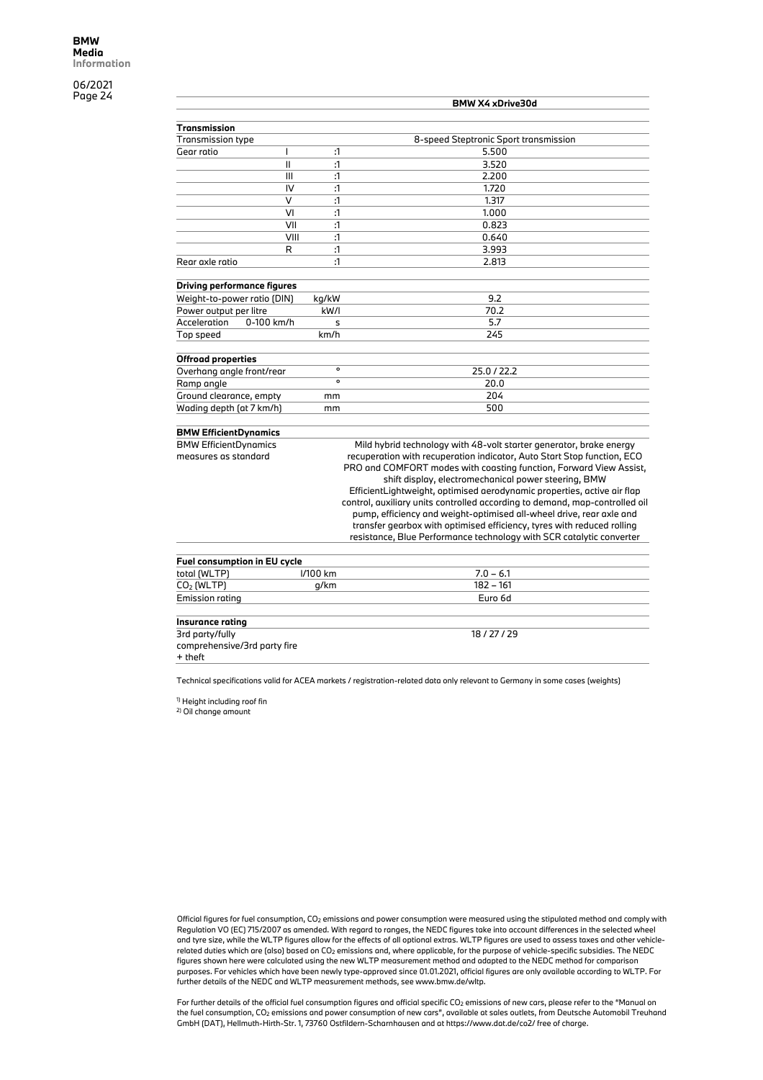|                             |                                    | <b>BMW X4 xDrive30d</b> |                                       |  |
|-----------------------------|------------------------------------|-------------------------|---------------------------------------|--|
| Transmission                |                                    |                         |                                       |  |
| <b>Transmission type</b>    |                                    |                         | 8-speed Steptronic Sport transmission |  |
| Gear ratio                  |                                    | :1                      | 5.500                                 |  |
|                             | Ш                                  | $\mathbf{1}$            | 3.520                                 |  |
|                             | III                                | $\mathbf{1}$            | 2.200                                 |  |
|                             | IV                                 | :1                      | 1.720                                 |  |
|                             | $\vee$                             | $\mathbf{1}$            | 1.317                                 |  |
|                             | VI                                 | :1                      | 1.000                                 |  |
|                             | VII                                | :1                      | 0.823                                 |  |
|                             | VIII                               | $\mathbf{1}$            | 0.640                                 |  |
|                             | R                                  | $\mathbf{1}$            | 3.993                                 |  |
| Rear axle ratio             |                                    | :1                      | 2.813                                 |  |
|                             | <b>Driving performance figures</b> |                         |                                       |  |
| Weight-to-power ratio (DIN) |                                    | kg/kW                   | 9.2                                   |  |
| Power output per litre      |                                    | $k$ W/I                 | 70.2                                  |  |
| Acceleration                | 0-100 km/h                         | s                       | 5.7                                   |  |
| Top speed                   |                                    | km/h                    | 245                                   |  |
| <b>Offroad properties</b>   |                                    |                         |                                       |  |
| Overhang angle front/rear   |                                    | $\circ$                 | 25.0/22.2                             |  |
| Ramp angle                  |                                    | $\circ$                 | 20.0                                  |  |
| Ground clearance, empty     |                                    | mm                      | 204                                   |  |
| Wading depth (at 7 km/h)    |                                    | mm                      | 500                                   |  |
|                             |                                    |                         |                                       |  |

#### **BMW EfficientDynamics**

BMW EfficientDynamics measures as standard

Mild hybrid technology with 48-volt starter generator, brake energy recuperation with recuperation indicator, Auto Start Stop function, ECO PRO and COMFORT modes with coasting function, Forward View Assist, shift display, electromechanical power steering, BMW EfficientLightweight, optimised aerodynamic properties, active air flap control, auxiliary units controlled according to demand, map-controlled oil pump, efficiency and weight-optimised all-wheel drive, rear axle and transfer gearbox with optimised efficiency, tyres with reduced rolling resistance, Blue Performance technology with SCR catalytic converter

| Fuel consumption in EU cycle |             |  |  |  |  |
|------------------------------|-------------|--|--|--|--|
|                              | $7.0 - 6.1$ |  |  |  |  |
| q/km                         | $182 - 161$ |  |  |  |  |
|                              | Euro 6d     |  |  |  |  |
|                              |             |  |  |  |  |
|                              |             |  |  |  |  |
|                              | 18/27/29    |  |  |  |  |
|                              |             |  |  |  |  |
|                              |             |  |  |  |  |
|                              | I/100 km    |  |  |  |  |

Technical specifications valid for ACEA markets / registration-related data only relevant to Germany in some cases (weights)

1) Height including roof fin

2) Oil change amount

Official figures for fuel consumption, CO2 emissions and power consumption were measured using the stipulated method and comply with Regulation VO (EC) 715/2007 as amended. With regard to ranges, the NEDC figures take into account differences in the selected wheel and tyre size, while the WLTP figures allow for the effects of all optional extras. WLTP figures are used to assess taxes and other vehiclerelated duties which are (also) based on CO2 emissions and, where applicable, for the purpose of vehicle-specific subsidies. The NEDC figures shown here were calculated using the new WLTP measurement method and adapted to the NEDC method for comparison purposes. For vehicles which have been newly type-approved since 01.01.2021, official figures are only available according to WLTP. For further details of the NEDC and WLTP measurement methods, see www.bmw.de/wltp.

For further details of the official fuel consumption figures and official specific CO<sub>2</sub> emissions of new cars, please refer to the "Manual on the fuel consumption, CO2 emissions and power consumption of new cars", available at sales outlets, from Deutsche Automobil Treuhand GmbH (DAT), Hellmuth-Hirth-Str. 1, 73760 Ostfildern-Scharnhausen and at https://www.dat.de/co2/ free of charge.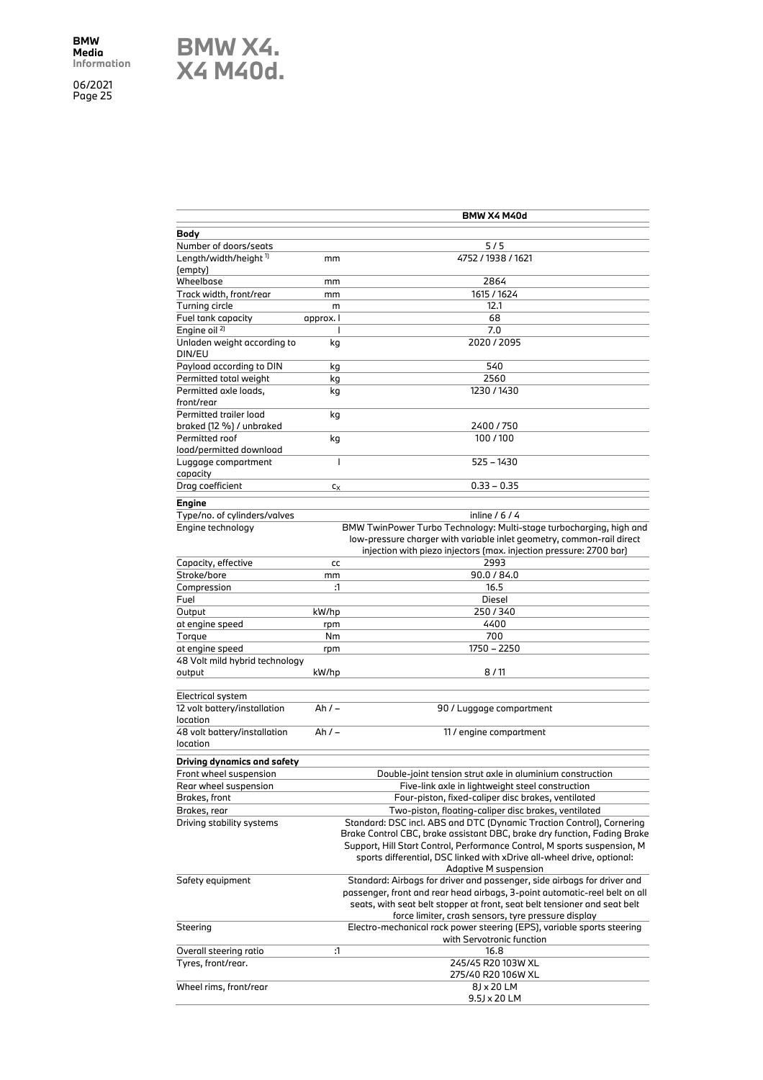**BMW X4. X4 M40d.**

| Body<br>Number of doors/seats<br>$5/5$<br>Length/width/height <sup>1)</sup><br>4752 / 1938 / 1621<br>mm<br>Wheelbase<br>2864<br>mm<br>1615 / 1624<br>Track width, front/rear<br>mm<br>Turning circle<br>12.1<br>m<br>68<br>Fuel tank capacity<br>approx. I<br>Engine oil <sup>2)</sup><br>7.0<br>ı<br>Unladen weight according to<br>2020 / 2095<br>kg<br>540<br>kg<br>Permitted total weight<br>2560<br>kg<br>1230 / 1430<br>kg<br>kg<br>braked (12 %) / unbraked<br>2400 / 750<br>100/100<br>Permitted roof<br>kg<br>load/permitted download<br>$\mathbf{I}$<br>525 - 1430<br>Luggage compartment<br>capacity<br>Drag coefficient<br>$0.33 - 0.35$<br>$c_X$<br>inline $/ 6 / 4$<br>BMW TwinPower Turbo Technology: Multi-stage turbocharging, high and<br>Engine technology<br>low-pressure charger with variable inlet geometry, common-rail direct<br>injection with piezo injectors (max. injection pressure: 2700 bar)<br>2993<br>Capacity, effective<br>cc<br>Stroke/bore<br>90.0 / 84.0<br>mm<br>Compression<br>:1<br>16.5<br>Fuel<br>Diesel<br>Output<br>kW/hp<br>250/340<br>4400<br>at engine speed<br>rpm<br>700<br>Torque<br>Nm<br>at engine speed<br>1750 - 2250<br>rpm<br>8/11<br>kW/hp<br>Electrical system<br>Ah $/ -$<br>90 / Luggage compartment<br>$Ah/-$<br>11 / engine compartment<br>Driving dynamics and safety<br>Front wheel suspension<br>Double-joint tension strut axle in aluminium construction<br>Rear wheel suspension<br>Five-link axle in lightweight steel construction<br>Four-piston, fixed-caliper disc brakes, ventilated<br>Brakes, front<br>Two-piston, floating-caliper disc brakes, ventilated<br>Brakes, rear<br>Driving stability systems<br>Standard: DSC incl. ABS and DTC (Dynamic Traction Control), Cornering<br>Brake Control CBC, brake assistant DBC, brake dry function, Fading Brake<br>Support, Hill Start Control, Performance Control, M sports suspension, M<br>sports differential, DSC linked with xDrive all-wheel drive, optional:<br><b>Adaptive M suspension</b><br>Standard: Airbags for driver and passenger, side airbags for driver and<br>passenger, front and rear head airbags, 3-point automatic-reel belt on all<br>seats, with seat belt stopper at front, seat belt tensioner and seat belt<br>force limiter, crash sensors, tyre pressure display<br>Electro-mechanical rack power steering (EPS), variable sports steering<br>with Servotronic function<br>:1<br>16.8<br>Tyres, front/rear.<br>245/45 R20 103W XL<br>275/40 R20 106W XL<br>8J x 20 LM<br>Wheel rims, front/rear<br>9.5J x 20 LM |                                          | BMW X4 M40d |
|-------------------------------------------------------------------------------------------------------------------------------------------------------------------------------------------------------------------------------------------------------------------------------------------------------------------------------------------------------------------------------------------------------------------------------------------------------------------------------------------------------------------------------------------------------------------------------------------------------------------------------------------------------------------------------------------------------------------------------------------------------------------------------------------------------------------------------------------------------------------------------------------------------------------------------------------------------------------------------------------------------------------------------------------------------------------------------------------------------------------------------------------------------------------------------------------------------------------------------------------------------------------------------------------------------------------------------------------------------------------------------------------------------------------------------------------------------------------------------------------------------------------------------------------------------------------------------------------------------------------------------------------------------------------------------------------------------------------------------------------------------------------------------------------------------------------------------------------------------------------------------------------------------------------------------------------------------------------------------------------------------------------------------------------------------------------------------------------------------------------------------------------------------------------------------------------------------------------------------------------------------------------------------------------------------------------------------------------------------------------------------------------------------------------------------------------------------------------------------------------------------------------------------------------------------------------------------|------------------------------------------|-------------|
|                                                                                                                                                                                                                                                                                                                                                                                                                                                                                                                                                                                                                                                                                                                                                                                                                                                                                                                                                                                                                                                                                                                                                                                                                                                                                                                                                                                                                                                                                                                                                                                                                                                                                                                                                                                                                                                                                                                                                                                                                                                                                                                                                                                                                                                                                                                                                                                                                                                                                                                                                                               |                                          |             |
|                                                                                                                                                                                                                                                                                                                                                                                                                                                                                                                                                                                                                                                                                                                                                                                                                                                                                                                                                                                                                                                                                                                                                                                                                                                                                                                                                                                                                                                                                                                                                                                                                                                                                                                                                                                                                                                                                                                                                                                                                                                                                                                                                                                                                                                                                                                                                                                                                                                                                                                                                                               |                                          |             |
|                                                                                                                                                                                                                                                                                                                                                                                                                                                                                                                                                                                                                                                                                                                                                                                                                                                                                                                                                                                                                                                                                                                                                                                                                                                                                                                                                                                                                                                                                                                                                                                                                                                                                                                                                                                                                                                                                                                                                                                                                                                                                                                                                                                                                                                                                                                                                                                                                                                                                                                                                                               |                                          |             |
|                                                                                                                                                                                                                                                                                                                                                                                                                                                                                                                                                                                                                                                                                                                                                                                                                                                                                                                                                                                                                                                                                                                                                                                                                                                                                                                                                                                                                                                                                                                                                                                                                                                                                                                                                                                                                                                                                                                                                                                                                                                                                                                                                                                                                                                                                                                                                                                                                                                                                                                                                                               | (empty)                                  |             |
|                                                                                                                                                                                                                                                                                                                                                                                                                                                                                                                                                                                                                                                                                                                                                                                                                                                                                                                                                                                                                                                                                                                                                                                                                                                                                                                                                                                                                                                                                                                                                                                                                                                                                                                                                                                                                                                                                                                                                                                                                                                                                                                                                                                                                                                                                                                                                                                                                                                                                                                                                                               |                                          |             |
|                                                                                                                                                                                                                                                                                                                                                                                                                                                                                                                                                                                                                                                                                                                                                                                                                                                                                                                                                                                                                                                                                                                                                                                                                                                                                                                                                                                                                                                                                                                                                                                                                                                                                                                                                                                                                                                                                                                                                                                                                                                                                                                                                                                                                                                                                                                                                                                                                                                                                                                                                                               |                                          |             |
|                                                                                                                                                                                                                                                                                                                                                                                                                                                                                                                                                                                                                                                                                                                                                                                                                                                                                                                                                                                                                                                                                                                                                                                                                                                                                                                                                                                                                                                                                                                                                                                                                                                                                                                                                                                                                                                                                                                                                                                                                                                                                                                                                                                                                                                                                                                                                                                                                                                                                                                                                                               |                                          |             |
|                                                                                                                                                                                                                                                                                                                                                                                                                                                                                                                                                                                                                                                                                                                                                                                                                                                                                                                                                                                                                                                                                                                                                                                                                                                                                                                                                                                                                                                                                                                                                                                                                                                                                                                                                                                                                                                                                                                                                                                                                                                                                                                                                                                                                                                                                                                                                                                                                                                                                                                                                                               |                                          |             |
|                                                                                                                                                                                                                                                                                                                                                                                                                                                                                                                                                                                                                                                                                                                                                                                                                                                                                                                                                                                                                                                                                                                                                                                                                                                                                                                                                                                                                                                                                                                                                                                                                                                                                                                                                                                                                                                                                                                                                                                                                                                                                                                                                                                                                                                                                                                                                                                                                                                                                                                                                                               |                                          |             |
|                                                                                                                                                                                                                                                                                                                                                                                                                                                                                                                                                                                                                                                                                                                                                                                                                                                                                                                                                                                                                                                                                                                                                                                                                                                                                                                                                                                                                                                                                                                                                                                                                                                                                                                                                                                                                                                                                                                                                                                                                                                                                                                                                                                                                                                                                                                                                                                                                                                                                                                                                                               | DIN/EU                                   |             |
|                                                                                                                                                                                                                                                                                                                                                                                                                                                                                                                                                                                                                                                                                                                                                                                                                                                                                                                                                                                                                                                                                                                                                                                                                                                                                                                                                                                                                                                                                                                                                                                                                                                                                                                                                                                                                                                                                                                                                                                                                                                                                                                                                                                                                                                                                                                                                                                                                                                                                                                                                                               | Payload according to DIN                 |             |
|                                                                                                                                                                                                                                                                                                                                                                                                                                                                                                                                                                                                                                                                                                                                                                                                                                                                                                                                                                                                                                                                                                                                                                                                                                                                                                                                                                                                                                                                                                                                                                                                                                                                                                                                                                                                                                                                                                                                                                                                                                                                                                                                                                                                                                                                                                                                                                                                                                                                                                                                                                               |                                          |             |
|                                                                                                                                                                                                                                                                                                                                                                                                                                                                                                                                                                                                                                                                                                                                                                                                                                                                                                                                                                                                                                                                                                                                                                                                                                                                                                                                                                                                                                                                                                                                                                                                                                                                                                                                                                                                                                                                                                                                                                                                                                                                                                                                                                                                                                                                                                                                                                                                                                                                                                                                                                               | Permitted axle loads,                    |             |
|                                                                                                                                                                                                                                                                                                                                                                                                                                                                                                                                                                                                                                                                                                                                                                                                                                                                                                                                                                                                                                                                                                                                                                                                                                                                                                                                                                                                                                                                                                                                                                                                                                                                                                                                                                                                                                                                                                                                                                                                                                                                                                                                                                                                                                                                                                                                                                                                                                                                                                                                                                               | front/rear                               |             |
|                                                                                                                                                                                                                                                                                                                                                                                                                                                                                                                                                                                                                                                                                                                                                                                                                                                                                                                                                                                                                                                                                                                                                                                                                                                                                                                                                                                                                                                                                                                                                                                                                                                                                                                                                                                                                                                                                                                                                                                                                                                                                                                                                                                                                                                                                                                                                                                                                                                                                                                                                                               | Permitted trailer load                   |             |
|                                                                                                                                                                                                                                                                                                                                                                                                                                                                                                                                                                                                                                                                                                                                                                                                                                                                                                                                                                                                                                                                                                                                                                                                                                                                                                                                                                                                                                                                                                                                                                                                                                                                                                                                                                                                                                                                                                                                                                                                                                                                                                                                                                                                                                                                                                                                                                                                                                                                                                                                                                               |                                          |             |
|                                                                                                                                                                                                                                                                                                                                                                                                                                                                                                                                                                                                                                                                                                                                                                                                                                                                                                                                                                                                                                                                                                                                                                                                                                                                                                                                                                                                                                                                                                                                                                                                                                                                                                                                                                                                                                                                                                                                                                                                                                                                                                                                                                                                                                                                                                                                                                                                                                                                                                                                                                               |                                          |             |
|                                                                                                                                                                                                                                                                                                                                                                                                                                                                                                                                                                                                                                                                                                                                                                                                                                                                                                                                                                                                                                                                                                                                                                                                                                                                                                                                                                                                                                                                                                                                                                                                                                                                                                                                                                                                                                                                                                                                                                                                                                                                                                                                                                                                                                                                                                                                                                                                                                                                                                                                                                               |                                          |             |
|                                                                                                                                                                                                                                                                                                                                                                                                                                                                                                                                                                                                                                                                                                                                                                                                                                                                                                                                                                                                                                                                                                                                                                                                                                                                                                                                                                                                                                                                                                                                                                                                                                                                                                                                                                                                                                                                                                                                                                                                                                                                                                                                                                                                                                                                                                                                                                                                                                                                                                                                                                               |                                          |             |
|                                                                                                                                                                                                                                                                                                                                                                                                                                                                                                                                                                                                                                                                                                                                                                                                                                                                                                                                                                                                                                                                                                                                                                                                                                                                                                                                                                                                                                                                                                                                                                                                                                                                                                                                                                                                                                                                                                                                                                                                                                                                                                                                                                                                                                                                                                                                                                                                                                                                                                                                                                               |                                          |             |
|                                                                                                                                                                                                                                                                                                                                                                                                                                                                                                                                                                                                                                                                                                                                                                                                                                                                                                                                                                                                                                                                                                                                                                                                                                                                                                                                                                                                                                                                                                                                                                                                                                                                                                                                                                                                                                                                                                                                                                                                                                                                                                                                                                                                                                                                                                                                                                                                                                                                                                                                                                               |                                          |             |
|                                                                                                                                                                                                                                                                                                                                                                                                                                                                                                                                                                                                                                                                                                                                                                                                                                                                                                                                                                                                                                                                                                                                                                                                                                                                                                                                                                                                                                                                                                                                                                                                                                                                                                                                                                                                                                                                                                                                                                                                                                                                                                                                                                                                                                                                                                                                                                                                                                                                                                                                                                               |                                          |             |
|                                                                                                                                                                                                                                                                                                                                                                                                                                                                                                                                                                                                                                                                                                                                                                                                                                                                                                                                                                                                                                                                                                                                                                                                                                                                                                                                                                                                                                                                                                                                                                                                                                                                                                                                                                                                                                                                                                                                                                                                                                                                                                                                                                                                                                                                                                                                                                                                                                                                                                                                                                               | Engine                                   |             |
|                                                                                                                                                                                                                                                                                                                                                                                                                                                                                                                                                                                                                                                                                                                                                                                                                                                                                                                                                                                                                                                                                                                                                                                                                                                                                                                                                                                                                                                                                                                                                                                                                                                                                                                                                                                                                                                                                                                                                                                                                                                                                                                                                                                                                                                                                                                                                                                                                                                                                                                                                                               | Type/no. of cylinders/valves             |             |
|                                                                                                                                                                                                                                                                                                                                                                                                                                                                                                                                                                                                                                                                                                                                                                                                                                                                                                                                                                                                                                                                                                                                                                                                                                                                                                                                                                                                                                                                                                                                                                                                                                                                                                                                                                                                                                                                                                                                                                                                                                                                                                                                                                                                                                                                                                                                                                                                                                                                                                                                                                               |                                          |             |
|                                                                                                                                                                                                                                                                                                                                                                                                                                                                                                                                                                                                                                                                                                                                                                                                                                                                                                                                                                                                                                                                                                                                                                                                                                                                                                                                                                                                                                                                                                                                                                                                                                                                                                                                                                                                                                                                                                                                                                                                                                                                                                                                                                                                                                                                                                                                                                                                                                                                                                                                                                               |                                          |             |
|                                                                                                                                                                                                                                                                                                                                                                                                                                                                                                                                                                                                                                                                                                                                                                                                                                                                                                                                                                                                                                                                                                                                                                                                                                                                                                                                                                                                                                                                                                                                                                                                                                                                                                                                                                                                                                                                                                                                                                                                                                                                                                                                                                                                                                                                                                                                                                                                                                                                                                                                                                               |                                          |             |
|                                                                                                                                                                                                                                                                                                                                                                                                                                                                                                                                                                                                                                                                                                                                                                                                                                                                                                                                                                                                                                                                                                                                                                                                                                                                                                                                                                                                                                                                                                                                                                                                                                                                                                                                                                                                                                                                                                                                                                                                                                                                                                                                                                                                                                                                                                                                                                                                                                                                                                                                                                               |                                          |             |
|                                                                                                                                                                                                                                                                                                                                                                                                                                                                                                                                                                                                                                                                                                                                                                                                                                                                                                                                                                                                                                                                                                                                                                                                                                                                                                                                                                                                                                                                                                                                                                                                                                                                                                                                                                                                                                                                                                                                                                                                                                                                                                                                                                                                                                                                                                                                                                                                                                                                                                                                                                               |                                          |             |
|                                                                                                                                                                                                                                                                                                                                                                                                                                                                                                                                                                                                                                                                                                                                                                                                                                                                                                                                                                                                                                                                                                                                                                                                                                                                                                                                                                                                                                                                                                                                                                                                                                                                                                                                                                                                                                                                                                                                                                                                                                                                                                                                                                                                                                                                                                                                                                                                                                                                                                                                                                               |                                          |             |
|                                                                                                                                                                                                                                                                                                                                                                                                                                                                                                                                                                                                                                                                                                                                                                                                                                                                                                                                                                                                                                                                                                                                                                                                                                                                                                                                                                                                                                                                                                                                                                                                                                                                                                                                                                                                                                                                                                                                                                                                                                                                                                                                                                                                                                                                                                                                                                                                                                                                                                                                                                               |                                          |             |
|                                                                                                                                                                                                                                                                                                                                                                                                                                                                                                                                                                                                                                                                                                                                                                                                                                                                                                                                                                                                                                                                                                                                                                                                                                                                                                                                                                                                                                                                                                                                                                                                                                                                                                                                                                                                                                                                                                                                                                                                                                                                                                                                                                                                                                                                                                                                                                                                                                                                                                                                                                               |                                          |             |
|                                                                                                                                                                                                                                                                                                                                                                                                                                                                                                                                                                                                                                                                                                                                                                                                                                                                                                                                                                                                                                                                                                                                                                                                                                                                                                                                                                                                                                                                                                                                                                                                                                                                                                                                                                                                                                                                                                                                                                                                                                                                                                                                                                                                                                                                                                                                                                                                                                                                                                                                                                               |                                          |             |
|                                                                                                                                                                                                                                                                                                                                                                                                                                                                                                                                                                                                                                                                                                                                                                                                                                                                                                                                                                                                                                                                                                                                                                                                                                                                                                                                                                                                                                                                                                                                                                                                                                                                                                                                                                                                                                                                                                                                                                                                                                                                                                                                                                                                                                                                                                                                                                                                                                                                                                                                                                               |                                          |             |
|                                                                                                                                                                                                                                                                                                                                                                                                                                                                                                                                                                                                                                                                                                                                                                                                                                                                                                                                                                                                                                                                                                                                                                                                                                                                                                                                                                                                                                                                                                                                                                                                                                                                                                                                                                                                                                                                                                                                                                                                                                                                                                                                                                                                                                                                                                                                                                                                                                                                                                                                                                               |                                          |             |
|                                                                                                                                                                                                                                                                                                                                                                                                                                                                                                                                                                                                                                                                                                                                                                                                                                                                                                                                                                                                                                                                                                                                                                                                                                                                                                                                                                                                                                                                                                                                                                                                                                                                                                                                                                                                                                                                                                                                                                                                                                                                                                                                                                                                                                                                                                                                                                                                                                                                                                                                                                               | 48 Volt mild hybrid technology           |             |
|                                                                                                                                                                                                                                                                                                                                                                                                                                                                                                                                                                                                                                                                                                                                                                                                                                                                                                                                                                                                                                                                                                                                                                                                                                                                                                                                                                                                                                                                                                                                                                                                                                                                                                                                                                                                                                                                                                                                                                                                                                                                                                                                                                                                                                                                                                                                                                                                                                                                                                                                                                               | output                                   |             |
|                                                                                                                                                                                                                                                                                                                                                                                                                                                                                                                                                                                                                                                                                                                                                                                                                                                                                                                                                                                                                                                                                                                                                                                                                                                                                                                                                                                                                                                                                                                                                                                                                                                                                                                                                                                                                                                                                                                                                                                                                                                                                                                                                                                                                                                                                                                                                                                                                                                                                                                                                                               |                                          |             |
|                                                                                                                                                                                                                                                                                                                                                                                                                                                                                                                                                                                                                                                                                                                                                                                                                                                                                                                                                                                                                                                                                                                                                                                                                                                                                                                                                                                                                                                                                                                                                                                                                                                                                                                                                                                                                                                                                                                                                                                                                                                                                                                                                                                                                                                                                                                                                                                                                                                                                                                                                                               |                                          |             |
|                                                                                                                                                                                                                                                                                                                                                                                                                                                                                                                                                                                                                                                                                                                                                                                                                                                                                                                                                                                                                                                                                                                                                                                                                                                                                                                                                                                                                                                                                                                                                                                                                                                                                                                                                                                                                                                                                                                                                                                                                                                                                                                                                                                                                                                                                                                                                                                                                                                                                                                                                                               | 12 volt battery/installation<br>location |             |
|                                                                                                                                                                                                                                                                                                                                                                                                                                                                                                                                                                                                                                                                                                                                                                                                                                                                                                                                                                                                                                                                                                                                                                                                                                                                                                                                                                                                                                                                                                                                                                                                                                                                                                                                                                                                                                                                                                                                                                                                                                                                                                                                                                                                                                                                                                                                                                                                                                                                                                                                                                               | 48 volt battery/installation             |             |
|                                                                                                                                                                                                                                                                                                                                                                                                                                                                                                                                                                                                                                                                                                                                                                                                                                                                                                                                                                                                                                                                                                                                                                                                                                                                                                                                                                                                                                                                                                                                                                                                                                                                                                                                                                                                                                                                                                                                                                                                                                                                                                                                                                                                                                                                                                                                                                                                                                                                                                                                                                               | location                                 |             |
|                                                                                                                                                                                                                                                                                                                                                                                                                                                                                                                                                                                                                                                                                                                                                                                                                                                                                                                                                                                                                                                                                                                                                                                                                                                                                                                                                                                                                                                                                                                                                                                                                                                                                                                                                                                                                                                                                                                                                                                                                                                                                                                                                                                                                                                                                                                                                                                                                                                                                                                                                                               |                                          |             |
|                                                                                                                                                                                                                                                                                                                                                                                                                                                                                                                                                                                                                                                                                                                                                                                                                                                                                                                                                                                                                                                                                                                                                                                                                                                                                                                                                                                                                                                                                                                                                                                                                                                                                                                                                                                                                                                                                                                                                                                                                                                                                                                                                                                                                                                                                                                                                                                                                                                                                                                                                                               |                                          |             |
|                                                                                                                                                                                                                                                                                                                                                                                                                                                                                                                                                                                                                                                                                                                                                                                                                                                                                                                                                                                                                                                                                                                                                                                                                                                                                                                                                                                                                                                                                                                                                                                                                                                                                                                                                                                                                                                                                                                                                                                                                                                                                                                                                                                                                                                                                                                                                                                                                                                                                                                                                                               |                                          |             |
|                                                                                                                                                                                                                                                                                                                                                                                                                                                                                                                                                                                                                                                                                                                                                                                                                                                                                                                                                                                                                                                                                                                                                                                                                                                                                                                                                                                                                                                                                                                                                                                                                                                                                                                                                                                                                                                                                                                                                                                                                                                                                                                                                                                                                                                                                                                                                                                                                                                                                                                                                                               |                                          |             |
|                                                                                                                                                                                                                                                                                                                                                                                                                                                                                                                                                                                                                                                                                                                                                                                                                                                                                                                                                                                                                                                                                                                                                                                                                                                                                                                                                                                                                                                                                                                                                                                                                                                                                                                                                                                                                                                                                                                                                                                                                                                                                                                                                                                                                                                                                                                                                                                                                                                                                                                                                                               |                                          |             |
|                                                                                                                                                                                                                                                                                                                                                                                                                                                                                                                                                                                                                                                                                                                                                                                                                                                                                                                                                                                                                                                                                                                                                                                                                                                                                                                                                                                                                                                                                                                                                                                                                                                                                                                                                                                                                                                                                                                                                                                                                                                                                                                                                                                                                                                                                                                                                                                                                                                                                                                                                                               |                                          |             |
|                                                                                                                                                                                                                                                                                                                                                                                                                                                                                                                                                                                                                                                                                                                                                                                                                                                                                                                                                                                                                                                                                                                                                                                                                                                                                                                                                                                                                                                                                                                                                                                                                                                                                                                                                                                                                                                                                                                                                                                                                                                                                                                                                                                                                                                                                                                                                                                                                                                                                                                                                                               |                                          |             |
|                                                                                                                                                                                                                                                                                                                                                                                                                                                                                                                                                                                                                                                                                                                                                                                                                                                                                                                                                                                                                                                                                                                                                                                                                                                                                                                                                                                                                                                                                                                                                                                                                                                                                                                                                                                                                                                                                                                                                                                                                                                                                                                                                                                                                                                                                                                                                                                                                                                                                                                                                                               |                                          |             |
|                                                                                                                                                                                                                                                                                                                                                                                                                                                                                                                                                                                                                                                                                                                                                                                                                                                                                                                                                                                                                                                                                                                                                                                                                                                                                                                                                                                                                                                                                                                                                                                                                                                                                                                                                                                                                                                                                                                                                                                                                                                                                                                                                                                                                                                                                                                                                                                                                                                                                                                                                                               |                                          |             |
|                                                                                                                                                                                                                                                                                                                                                                                                                                                                                                                                                                                                                                                                                                                                                                                                                                                                                                                                                                                                                                                                                                                                                                                                                                                                                                                                                                                                                                                                                                                                                                                                                                                                                                                                                                                                                                                                                                                                                                                                                                                                                                                                                                                                                                                                                                                                                                                                                                                                                                                                                                               |                                          |             |
|                                                                                                                                                                                                                                                                                                                                                                                                                                                                                                                                                                                                                                                                                                                                                                                                                                                                                                                                                                                                                                                                                                                                                                                                                                                                                                                                                                                                                                                                                                                                                                                                                                                                                                                                                                                                                                                                                                                                                                                                                                                                                                                                                                                                                                                                                                                                                                                                                                                                                                                                                                               |                                          |             |
|                                                                                                                                                                                                                                                                                                                                                                                                                                                                                                                                                                                                                                                                                                                                                                                                                                                                                                                                                                                                                                                                                                                                                                                                                                                                                                                                                                                                                                                                                                                                                                                                                                                                                                                                                                                                                                                                                                                                                                                                                                                                                                                                                                                                                                                                                                                                                                                                                                                                                                                                                                               | Safety equipment                         |             |
|                                                                                                                                                                                                                                                                                                                                                                                                                                                                                                                                                                                                                                                                                                                                                                                                                                                                                                                                                                                                                                                                                                                                                                                                                                                                                                                                                                                                                                                                                                                                                                                                                                                                                                                                                                                                                                                                                                                                                                                                                                                                                                                                                                                                                                                                                                                                                                                                                                                                                                                                                                               |                                          |             |
|                                                                                                                                                                                                                                                                                                                                                                                                                                                                                                                                                                                                                                                                                                                                                                                                                                                                                                                                                                                                                                                                                                                                                                                                                                                                                                                                                                                                                                                                                                                                                                                                                                                                                                                                                                                                                                                                                                                                                                                                                                                                                                                                                                                                                                                                                                                                                                                                                                                                                                                                                                               |                                          |             |
|                                                                                                                                                                                                                                                                                                                                                                                                                                                                                                                                                                                                                                                                                                                                                                                                                                                                                                                                                                                                                                                                                                                                                                                                                                                                                                                                                                                                                                                                                                                                                                                                                                                                                                                                                                                                                                                                                                                                                                                                                                                                                                                                                                                                                                                                                                                                                                                                                                                                                                                                                                               |                                          |             |
|                                                                                                                                                                                                                                                                                                                                                                                                                                                                                                                                                                                                                                                                                                                                                                                                                                                                                                                                                                                                                                                                                                                                                                                                                                                                                                                                                                                                                                                                                                                                                                                                                                                                                                                                                                                                                                                                                                                                                                                                                                                                                                                                                                                                                                                                                                                                                                                                                                                                                                                                                                               | Steering                                 |             |
|                                                                                                                                                                                                                                                                                                                                                                                                                                                                                                                                                                                                                                                                                                                                                                                                                                                                                                                                                                                                                                                                                                                                                                                                                                                                                                                                                                                                                                                                                                                                                                                                                                                                                                                                                                                                                                                                                                                                                                                                                                                                                                                                                                                                                                                                                                                                                                                                                                                                                                                                                                               |                                          |             |
|                                                                                                                                                                                                                                                                                                                                                                                                                                                                                                                                                                                                                                                                                                                                                                                                                                                                                                                                                                                                                                                                                                                                                                                                                                                                                                                                                                                                                                                                                                                                                                                                                                                                                                                                                                                                                                                                                                                                                                                                                                                                                                                                                                                                                                                                                                                                                                                                                                                                                                                                                                               | Overall steering ratio                   |             |
|                                                                                                                                                                                                                                                                                                                                                                                                                                                                                                                                                                                                                                                                                                                                                                                                                                                                                                                                                                                                                                                                                                                                                                                                                                                                                                                                                                                                                                                                                                                                                                                                                                                                                                                                                                                                                                                                                                                                                                                                                                                                                                                                                                                                                                                                                                                                                                                                                                                                                                                                                                               |                                          |             |
|                                                                                                                                                                                                                                                                                                                                                                                                                                                                                                                                                                                                                                                                                                                                                                                                                                                                                                                                                                                                                                                                                                                                                                                                                                                                                                                                                                                                                                                                                                                                                                                                                                                                                                                                                                                                                                                                                                                                                                                                                                                                                                                                                                                                                                                                                                                                                                                                                                                                                                                                                                               |                                          |             |
|                                                                                                                                                                                                                                                                                                                                                                                                                                                                                                                                                                                                                                                                                                                                                                                                                                                                                                                                                                                                                                                                                                                                                                                                                                                                                                                                                                                                                                                                                                                                                                                                                                                                                                                                                                                                                                                                                                                                                                                                                                                                                                                                                                                                                                                                                                                                                                                                                                                                                                                                                                               |                                          |             |
|                                                                                                                                                                                                                                                                                                                                                                                                                                                                                                                                                                                                                                                                                                                                                                                                                                                                                                                                                                                                                                                                                                                                                                                                                                                                                                                                                                                                                                                                                                                                                                                                                                                                                                                                                                                                                                                                                                                                                                                                                                                                                                                                                                                                                                                                                                                                                                                                                                                                                                                                                                               |                                          |             |